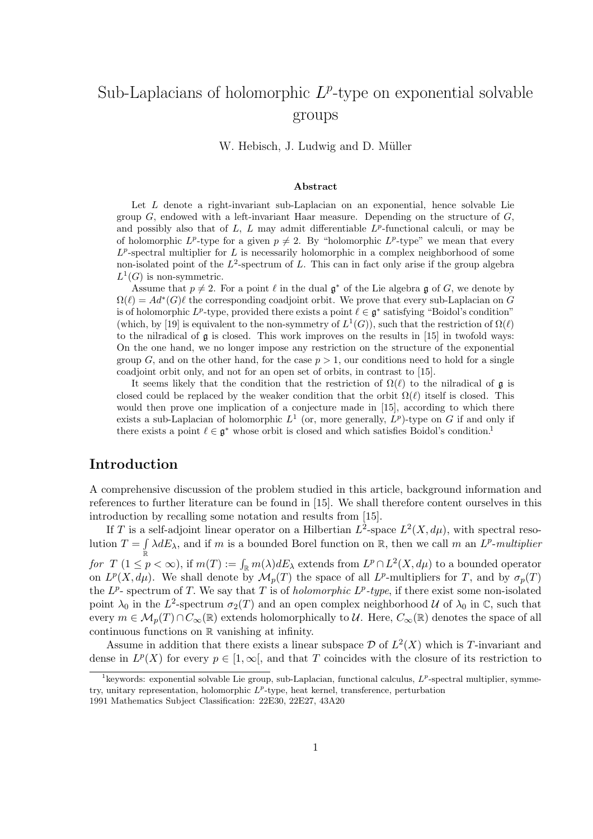# Sub-Laplacians of holomorphic  $L^p$ -type on exponential solvable groups

W. Hebisch, J. Ludwig and D. Müller

#### Abstract

Let L denote a right-invariant sub-Laplacian on an exponential, hence solvable Lie group  $G$ , endowed with a left-invariant Haar measure. Depending on the structure of  $G$ , and possibly also that of  $L$ ,  $L$  may admit differentiable  $L^p$ -functional calculi, or may be of holomorphic  $L^p$ -type for a given  $p \neq 2$ . By "holomorphic  $L^p$ -type" we mean that every  $L^p$ -spectral multiplier for L is necessarily holomorphic in a complex neighborhood of some non-isolated point of the  $L^2$ -spectrum of L. This can in fact only arise if the group algebra  $L^1(G)$  is non-symmetric.

Assume that  $p \neq 2$ . For a point  $\ell$  in the dual  $\mathfrak{g}^*$  of the Lie algebra g of G, we denote by  $\Omega(\ell) = Ad^*(G)\ell$  the corresponding coadjoint orbit. We prove that every sub-Laplacian on G is of holomorphic  $L^p$ -type, provided there exists a point  $\ell \in \mathfrak{g}^*$  satisfying "Boidol's condition" (which, by [19] is equivalent to the non-symmetry of  $L^1(G)$ ), such that the restriction of  $\Omega(\ell)$ to the nilradical of  $\mathfrak g$  is closed. This work improves on the results in [15] in twofold ways: On the one hand, we no longer impose any restriction on the structure of the exponential group G, and on the other hand, for the case  $p > 1$ , our conditions need to hold for a single coadjoint orbit only, and not for an open set of orbits, in contrast to [15].

It seems likely that the condition that the restriction of  $\Omega(\ell)$  to the nilradical of g is closed could be replaced by the weaker condition that the orbit  $\Omega(\ell)$  itself is closed. This would then prove one implication of a conjecture made in [15], according to which there exists a sub-Laplacian of holomorphic  $L^1$  (or, more generally,  $L^p$ )-type on G if and only if there exists a point  $\ell \in \mathfrak{g}^*$  whose orbit is closed and which satisfies Boidol's condition.<sup>1</sup>

#### Introduction

A comprehensive discussion of the problem studied in this article, background information and references to further literature can be found in [15]. We shall therefore content ourselves in this introduction by recalling some notation and results from [15].

If T is a self-adjoint linear operator on a Hilbertian  $L^2$ -space  $L^2(X, d\mu)$ , with spectral resolution  $T = \int \lambda dE_{\lambda}$ , and if m is a bounded Borel function on R, then we call m an  $L^p$ -multiplier for  $T \ (1 \leq p < \infty)$ , if  $m(T) := \int_{\mathbb{R}} m(\lambda) dE_{\lambda}$  extends from  $L^p \cap L^2(X, d\mu)$  to a bounded operator on  $L^p(X, d\mu)$ . We shall denote by  $\mathcal{M}_p(T)$  the space of all  $L^p$ -multipliers for T, and by  $\sigma_p(T)$ the  $L^p$ -spectrum of T. We say that T is of *holomorphic*  $L^p$ -type, if there exist some non-isolated point  $\lambda_0$  in the L<sup>2</sup>-spectrum  $\sigma_2(T)$  and an open complex neighborhood U of  $\lambda_0$  in C, such that every  $m \in \mathcal{M}_p(T) \cap C_\infty(\mathbb{R})$  extends holomorphically to  $\mathcal{U}$ . Here,  $C_\infty(\mathbb{R})$  denotes the space of all continuous functions on R vanishing at infinity.

Assume in addition that there exists a linear subspace  $\mathcal D$  of  $L^2(X)$  which is T-invariant and dense in  $L^p(X)$  for every  $p \in [1,\infty]$ , and that T coincides with the closure of its restriction to

<sup>&</sup>lt;sup>1</sup> keywords: exponential solvable Lie group, sub-Laplacian, functional calculus,  $L^p$ -spectral multiplier, symmetry, unitary representation, holomorphic  $L^p$ -type, heat kernel, transference, perturbation

<sup>1991</sup> Mathematics Subject Classification: 22E30, 22E27, 43A20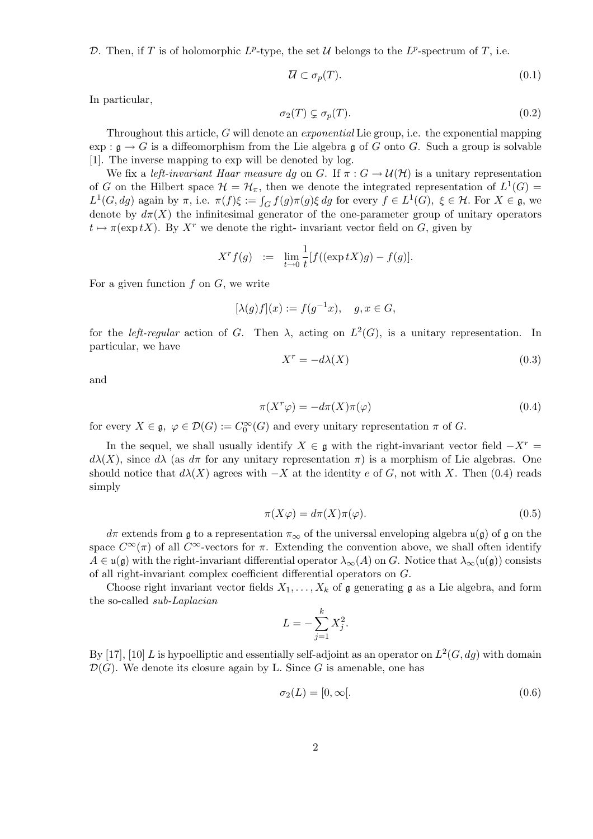D. Then, if T is of holomorphic  $L^p$ -type, the set U belongs to the  $L^p$ -spectrum of T, i.e.

$$
\overline{\mathcal{U}} \subset \sigma_p(T). \tag{0.1}
$$

In particular,

$$
\sigma_2(T) \subsetneq \sigma_p(T). \tag{0.2}
$$

Throughout this article, G will denote an exponential Lie group, i.e. the exponential mapping  $\exp: \mathfrak{g} \to G$  is a diffeomorphism from the Lie algebra g of G onto G. Such a group is solvable [1]. The inverse mapping to exp will be denoted by log.

We fix a left-invariant Haar measure dg on G. If  $\pi: G \to \mathcal{U}(\mathcal{H})$  is a unitary representation of G on the Hilbert space  $\mathcal{H} = \mathcal{H}_{\pi}$ , then we denote the integrated representation of  $L^1(G)$ L<sup>1</sup>(*G*, *dg*) again by π, i.e.  $π(f)ξ := ∫<sub>G</sub> f(g)π(g)ξ dg$  for every  $f ∈ L<sup>1</sup>(G)$ ,  $ξ ∈ H$ . For  $X ∈ g$ , we denote by  $d\pi(X)$  the infinitesimal generator of the one-parameter group of unitary operators  $t \mapsto \pi(\exp tX)$ . By X<sup>r</sup> we denote the right- invariant vector field on G, given by

$$
X^r f(g) \ := \ \lim_{t \to 0} \frac{1}{t} [f((\exp tX)g) - f(g)].
$$

For a given function  $f$  on  $G$ , we write

$$
[\lambda(g)f](x) := f(g^{-1}x), \quad g, x \in G,
$$

for the *left-regular* action of G. Then  $\lambda$ , acting on  $L^2(G)$ , is a unitary representation. In particular, we have

$$
X^r = -d\lambda(X) \tag{0.3}
$$

and

$$
\pi(X^r \varphi) = -d\pi(X)\pi(\varphi) \tag{0.4}
$$

for every  $X \in \mathfrak{g}, \varphi \in \mathcal{D}(G) := C_0^{\infty}(G)$  and every unitary representation  $\pi$  of G.

In the sequel, we shall usually identify  $X \in \mathfrak{g}$  with the right-invariant vector field  $-X^r =$  $d\lambda(X)$ , since  $d\lambda$  (as  $d\pi$  for any unitary representation  $\pi$ ) is a morphism of Lie algebras. One should notice that  $d\lambda(X)$  agrees with  $-X$  at the identity e of G, not with X. Then (0.4) reads simply

$$
\pi(X\varphi) = d\pi(X)\pi(\varphi). \tag{0.5}
$$

 $d\pi$  extends from g to a representation  $\pi_{\infty}$  of the universal enveloping algebra  $\mathfrak{u}(\mathfrak{g})$  of g on the space  $C^{\infty}(\pi)$  of all  $C^{\infty}$ -vectors for  $\pi$ . Extending the convention above, we shall often identify  $A \in \mathfrak{u}(\mathfrak{g})$  with the right-invariant differential operator  $\lambda_{\infty}(A)$  on G. Notice that  $\lambda_{\infty}(\mathfrak{u}(\mathfrak{g}))$  consists of all right-invariant complex coefficient differential operators on G.

Choose right invariant vector fields  $X_1, \ldots, X_k$  of g generating g as a Lie algebra, and form the so-called sub-Laplacian

$$
L = -\sum_{j=1}^{k} X_j^2.
$$

By [17], [10] L is hypoelliptic and essentially self-adjoint as an operator on  $L^2(G, dg)$  with domain  $\mathcal{D}(G)$ . We denote its closure again by L. Since G is amenable, one has

$$
\sigma_2(L) = [0, \infty[.
$$
\n
$$
(0.6)
$$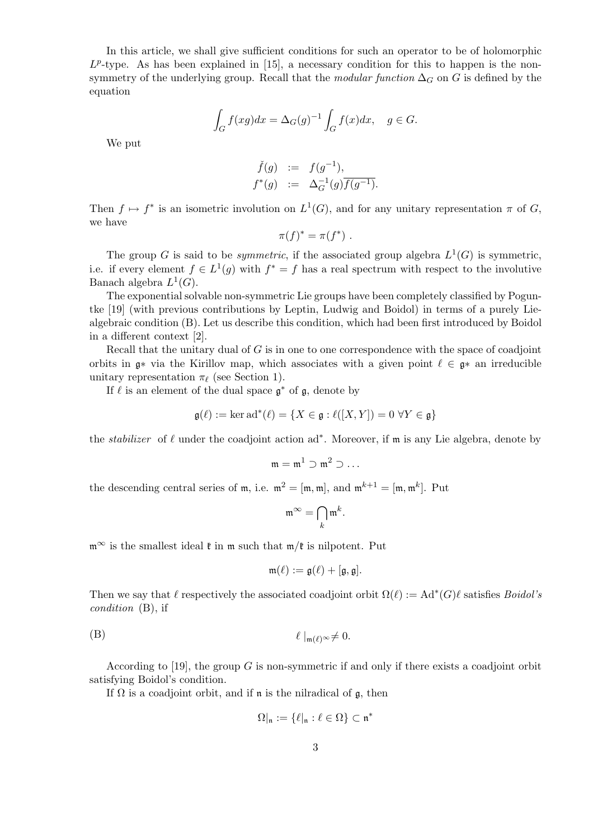In this article, we shall give sufficient conditions for such an operator to be of holomorphic  $L^p$ -type. As has been explained in [15], a necessary condition for this to happen is the nonsymmetry of the underlying group. Recall that the modular function  $\Delta_G$  on G is defined by the equation

$$
\int_G f(xg)dx = \Delta_G(g)^{-1} \int_G f(x)dx, \quad g \in G.
$$

We put

$$
\begin{array}{rcl}\n\check{f}(g) & := & f(g^{-1}), \\
f^*(g) & := & \Delta_G^{-1}(g) \overline{f(g^{-1})}.\n\end{array}
$$

Then  $f \mapsto f^*$  is an isometric involution on  $L^1(G)$ , and for any unitary representation  $\pi$  of  $G$ , we have

$$
\pi(f)^* = \pi(f^*) .
$$

The group G is said to be *symmetric*, if the associated group algebra  $L^1(G)$  is symmetric, i.e. if every element  $f \in L^1(g)$  with  $f^* = f$  has a real spectrum with respect to the involutive Banach algebra  $L^1(G)$ .

The exponential solvable non-symmetric Lie groups have been completely classified by Poguntke [19] (with previous contributions by Leptin, Ludwig and Boidol) in terms of a purely Liealgebraic condition (B). Let us describe this condition, which had been first introduced by Boidol in a different context [2].

Recall that the unitary dual of  $G$  is in one to one correspondence with the space of coadjoint orbits in  $\mathfrak{g}^*$  via the Kirillov map, which associates with a given point  $\ell \in \mathfrak{g}^*$  an irreducible unitary representation  $\pi_{\ell}$  (see Section 1).

If  $\ell$  is an element of the dual space  $\mathfrak{g}^*$  of  $\mathfrak{g}$ , denote by

$$
\mathfrak{g}(\ell) := \ker \mathrm{ad}^*(\ell) = \{ X \in \mathfrak{g} : \ell([X, Y]) = 0 \,\,\forall Y \in \mathfrak{g} \}
$$

the *stabilizer* of  $\ell$  under the coadjoint action ad<sup>∗</sup>. Moreover, if m is any Lie algebra, denote by

$$
\mathfrak{m}=\mathfrak{m}^1\supset\mathfrak{m}^2\supset\ldots
$$

the descending central series of m, i.e.  $m^2 = [m, m]$ , and  $m^{k+1} = [m, m^k]$ . Put

$$
\mathfrak{m}^{\infty} = \bigcap_{k} \mathfrak{m}^{k}.
$$

 $m^{\infty}$  is the smallest ideal  $\mathfrak{k}$  in  $m$  such that  $m/\mathfrak{k}$  is nilpotent. Put

$$
\mathfrak{m}(\ell):=\mathfrak{g}(\ell)+[\mathfrak{g},\mathfrak{g}].
$$

Then we say that  $\ell$  respectively the associated coadjoint orbit  $\Omega(\ell) := \text{Ad}^*(G)\ell$  satisfies *Boidol's* condition (B), if

$$
\ell \mid_{\mathfrak{m}(\ell)^{\infty}} \neq 0.
$$

According to [19], the group  $G$  is non-symmetric if and only if there exists a coadjoint orbit satisfying Boidol's condition.

If  $\Omega$  is a coadjoint orbit, and if n is the nilradical of g, then

$$
\Omega|_{\mathfrak{n}}:=\{\ell|_{\mathfrak{n}}:\ell\in\Omega\}\subset\mathfrak{n}^*
$$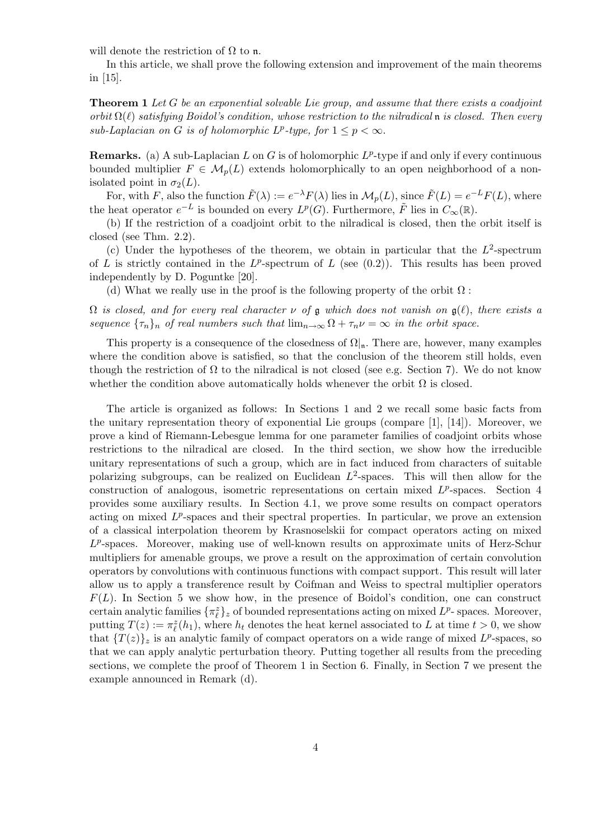will denote the restriction of  $\Omega$  to n.

In this article, we shall prove the following extension and improvement of the main theorems in [15].

**Theorem 1** Let G be an exponential solvable Lie group, and assume that there exists a coadjoint orbit  $\Omega(\ell)$  satisfying Boidol's condition, whose restriction to the nilradical n is closed. Then every sub-Laplacian on G is of holomorphic  $L^p$ -type, for  $1 \leq p < \infty$ .

**Remarks.** (a) A sub-Laplacian L on G is of holomorphic  $L^p$ -type if and only if every continuous bounded multiplier  $F \in \mathcal{M}_n(L)$  extends holomorphically to an open neighborhood of a nonisolated point in  $\sigma_2(L)$ .

For, with F, also the function  $\tilde{F}(\lambda) := e^{-\lambda} F(\lambda)$  lies in  $\mathcal{M}_p(L)$ , since  $\tilde{F}(L) = e^{-L} F(L)$ , where the heat operator  $e^{-L}$  is bounded on every  $L^p(G)$ . Furthermore,  $\tilde{F}$  lies in  $C_{\infty}(\mathbb{R})$ .

(b) If the restriction of a coadjoint orbit to the nilradical is closed, then the orbit itself is closed (see Thm. 2.2).

(c) Under the hypotheses of the theorem, we obtain in particular that the  $L^2$ -spectrum of L is strictly contained in the  $L^p$ -spectrum of L (see  $(0.2)$ ). This results has been proved independently by D. Poguntke [20].

(d) What we really use in the proof is the following property of the orbit  $\Omega$ :

 $\Omega$  is closed, and for every real character  $\nu$  of  $\mathfrak g$  which does not vanish on  $\mathfrak g(\ell)$ , there exists a sequence  ${\tau_n}_n$  of real numbers such that  $\lim_{n\to\infty} \Omega + \tau_n \nu = \infty$  in the orbit space.

This property is a consequence of the closedness of  $\Omega|_{n}$ . There are, however, many examples where the condition above is satisfied, so that the conclusion of the theorem still holds, even though the restriction of  $\Omega$  to the nilradical is not closed (see e.g. Section 7). We do not know whether the condition above automatically holds whenever the orbit  $\Omega$  is closed.

The article is organized as follows: In Sections 1 and 2 we recall some basic facts from the unitary representation theory of exponential Lie groups (compare [1], [14]). Moreover, we prove a kind of Riemann-Lebesgue lemma for one parameter families of coadjoint orbits whose restrictions to the nilradical are closed. In the third section, we show how the irreducible unitary representations of such a group, which are in fact induced from characters of suitable polarizing subgroups, can be realized on Euclidean  $L^2$ -spaces. This will then allow for the construction of analogous, isometric representations on certain mixed  $L^p$ -spaces. Section 4 provides some auxiliary results. In Section 4.1, we prove some results on compact operators acting on mixed  $L^p$ -spaces and their spectral properties. In particular, we prove an extension of a classical interpolation theorem by Krasnoselskii for compact operators acting on mixed  $L^p$ -spaces. Moreover, making use of well-known results on approximate units of Herz-Schur multipliers for amenable groups, we prove a result on the approximation of certain convolution operators by convolutions with continuous functions with compact support. This result will later allow us to apply a transference result by Coifman and Weiss to spectral multiplier operators  $F(L)$ . In Section 5 we show how, in the presence of Boidol's condition, one can construct certain analytic families  $\{\pi_\ell^z\}_z$  of bounded representations acting on mixed  $L^p$ -spaces. Moreover, putting  $T(z) := \pi_{\ell}^{z}(h_1)$ , where  $h_t$  denotes the heat kernel associated to L at time  $t > 0$ , we show that  $\{T(z)\}_z$  is an analytic family of compact operators on a wide range of mixed  $L^p$ -spaces, so that we can apply analytic perturbation theory. Putting together all results from the preceding sections, we complete the proof of Theorem 1 in Section 6. Finally, in Section 7 we present the example announced in Remark (d).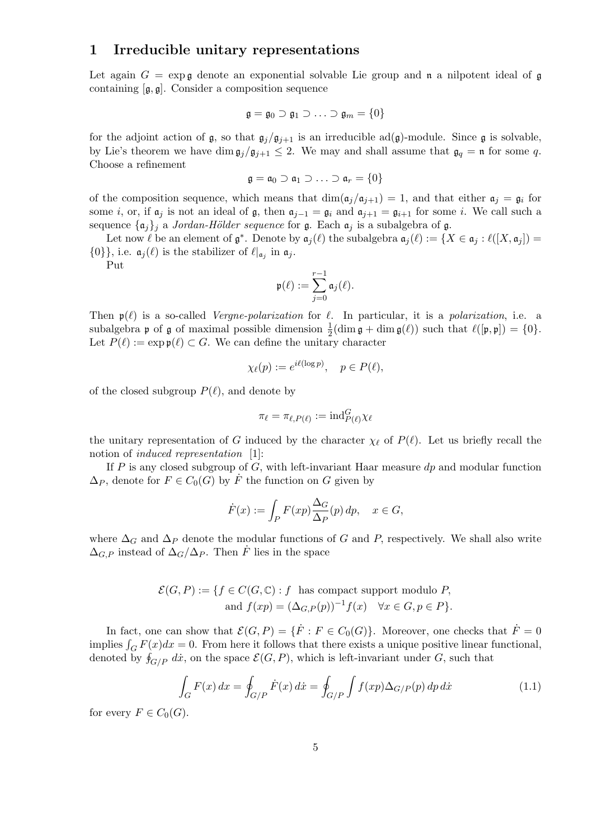#### 1 Irreducible unitary representations

Let again  $G = \exp \mathfrak{g}$  denote an exponential solvable Lie group and n a nilpotent ideal of g containing [g, g]. Consider a composition sequence

$$
\mathfrak{g} = \mathfrak{g}_0 \supset \mathfrak{g}_1 \supset \ldots \supset \mathfrak{g}_m = \{0\}
$$

for the adjoint action of  $\mathfrak{g}$ , so that  $\mathfrak{g}_j/\mathfrak{g}_{j+1}$  is an irreducible ad( $\mathfrak{g}$ )-module. Since  $\mathfrak{g}$  is solvable, by Lie's theorem we have dim  $\mathfrak{g}_j/\mathfrak{g}_{j+1} \leq 2$ . We may and shall assume that  $\mathfrak{g}_q = \mathfrak{n}$  for some q. Choose a refinement

$$
\mathfrak{g} = \mathfrak{a}_0 \supset \mathfrak{a}_1 \supset \ldots \supset \mathfrak{a}_r = \{0\}
$$

of the composition sequence, which means that  $\dim(\mathfrak{a}_j/\mathfrak{a}_{j+1}) = 1$ , and that either  $\mathfrak{a}_j = \mathfrak{g}_i$  for some i, or, if  $a_i$  is not an ideal of g, then  $a_{i-1} = g_i$  and  $a_{i+1} = g_{i+1}$  for some i. We call such a sequence  $\{\mathfrak{a}_j\}_j$  a Jordan-Hölder sequence for  $\mathfrak{g}$ . Each  $\mathfrak{a}_j$  is a subalgebra of  $\mathfrak{g}$ .

Let now  $\ell$  be an element of  $\mathfrak{g}^*$ . Denote by  $\mathfrak{a}_j(\ell)$  the subalgebra  $\mathfrak{a}_j(\ell) := \{X \in \mathfrak{a}_j : \ell([X, \mathfrak{a}_j]) = \ell\}$  $\{0\}\}\,$ , i.e.  $\mathfrak{a}_j(\ell)$  is the stabilizer of  $\ell|_{\mathfrak{a}_j}$  in  $\mathfrak{a}_j$ .

Put

$$
\mathfrak{p}(\ell) := \sum_{j=0}^{r-1} \mathfrak{a}_j(\ell).
$$

Then  $p(\ell)$  is a so-called *Vergne-polarization* for  $\ell$ . In particular, it is a *polarization*, i.e. a subalgebra **p** of **g** of maximal possible dimension  $\frac{1}{2}(\dim \mathfrak{g} + \dim \mathfrak{g}(\ell))$  such that  $\ell([\mathfrak{p}, \mathfrak{p}]) = \{0\}.$ Let  $P(\ell) := \exp \varphi(\ell) \subset G$ . We can define the unitary character

$$
\chi_{\ell}(p) := e^{i\ell(\log p)}, \quad p \in P(\ell),
$$

of the closed subgroup  $P(\ell)$ , and denote by

$$
\pi_\ell = \pi_{\ell, P(\ell)} := {\rm ind}_{P(\ell)}^G \chi_\ell
$$

the unitary representation of G induced by the character  $\chi_{\ell}$  of  $P(\ell)$ . Let us briefly recall the notion of *induced representation* [1]:

If P is any closed subgroup of G, with left-invariant Haar measure  $dp$  and modular function  $\Delta_P$ , denote for  $F \in C_0(G)$  by F the function on G given by

$$
\dot{F}(x) := \int_P F(xp) \frac{\Delta_G}{\Delta_P}(p) \, dp, \quad x \in G,
$$

where  $\Delta_G$  and  $\Delta_P$  denote the modular functions of G and P, respectively. We shall also write  $\Delta_{G,P}$  instead of  $\Delta_G/\Delta_P$ . Then  $\dot{F}$  lies in the space

$$
\mathcal{E}(G, P) := \{ f \in C(G, \mathbb{C}) : f \text{ has compact support modulo } P, \nand  $f(xp) = (\Delta_{G,P}(p))^{-1} f(x) \quad \forall x \in G, p \in P \}.$
$$

In fact, one can show that  $\mathcal{E}(G, P) = \{\dot{F} : F \in C_0(G)\}\$ . Moreover, one checks that  $\dot{F} = 0$ implies  $\int_G F(x)dx = 0$ . From here it follows that there exists a unique positive linear functional, denoted by  $f_{G/P}$  dx<sup>\*</sup>, on the space  $\mathcal{E}(G, P)$ , which is left-invariant under G, such that

$$
\int_{G} F(x) dx = \oint_{G/P} \dot{F}(x) dx = \oint_{G/P} \int f(xp) \Delta_{G/P}(p) dp dx \qquad (1.1)
$$

for every  $F \in C_0(G)$ .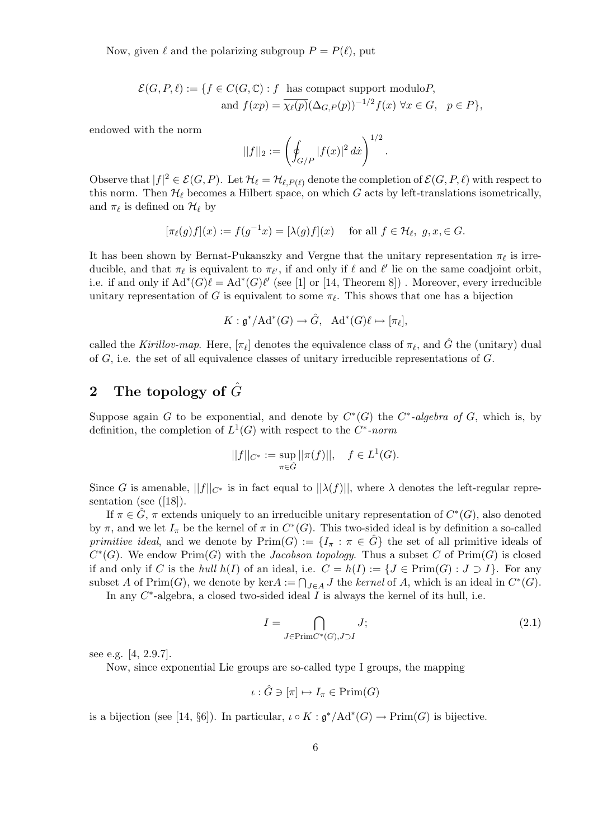Now, given  $\ell$  and the polarizing subgroup  $P = P(\ell)$ , put

$$
\mathcal{E}(G, P, \ell) := \{ f \in C(G, \mathbb{C}) : f \text{ has compact support modulo} P, \n\text{ and } f(xp) = \overline{\chi_{\ell}(p)} (\Delta_{G, P}(p))^{-1/2} f(x) \,\,\forall x \in G, \, p \in P \},
$$

endowed with the norm

$$
||f||_2 := \left(\oint_{G/P} |f(x)|^2 \, dx\right)^{1/2}.
$$

Observe that  $|f|^2 \in \mathcal{E}(G, P)$ . Let  $\mathcal{H}_\ell = \mathcal{H}_{\ell, P(\ell)}$  denote the completion of  $\mathcal{E}(G, P, \ell)$  with respect to this norm. Then  $\mathcal{H}_{\ell}$  becomes a Hilbert space, on which G acts by left-translations isometrically, and  $\pi_\ell$  is defined on  $\mathcal{H}_\ell$  by

$$
[\pi_{\ell}(g)f](x) := f(g^{-1}x) = [\lambda(g)f](x) \quad \text{ for all } f \in \mathcal{H}_{\ell}, \ g, x \in G.
$$

It has been shown by Bernat-Pukanszky and Vergne that the unitary representation  $\pi_{\ell}$  is irreducible, and that  $\pi_\ell$  is equivalent to  $\pi_{\ell'}$ , if and only if  $\ell$  and  $\ell'$  lie on the same coadjoint orbit, i.e. if and only if  $\text{Ad}^*(G)\ell = \text{Ad}^*(G)\ell'$  (see [1] or [14, Theorem 8]). Moreover, every irreducible unitary representation of G is equivalent to some  $\pi_{\ell}$ . This shows that one has a bijection

$$
K: \mathfrak{g}^*/\text{Ad}^*(G) \to \hat{G}, \quad \text{Ad}^*(G)\ell \mapsto [\pi_\ell],
$$

called the Kirillov-map. Here,  $[\pi_\ell]$  denotes the equivalence class of  $\pi_\ell$ , and  $\hat{G}$  the (unitary) dual of  $G$ , i.e. the set of all equivalence classes of unitary irreducible representations of  $G$ .

## 2 The topology of  $\hat{G}$

Suppose again G to be exponential, and denote by  $C^*(G)$  the  $C^*$ -algebra of G, which is, by definition, the completion of  $L^1(G)$  with respect to the  $C^*$ -norm

$$
||f||_{C^*} := \sup_{\pi \in \hat{G}} ||\pi(f)||, \quad f \in L^1(G).
$$

Since G is amenable,  $||f||_{C^*}$  is in fact equal to  $||\lambda(f)||$ , where  $\lambda$  denotes the left-regular representation (see ([18]).

If  $\pi \in \hat{G}$ ,  $\pi$  extends uniquely to an irreducible unitary representation of  $C^*(G)$ , also denoted by  $\pi$ , and we let  $I_{\pi}$  be the kernel of  $\pi$  in  $C^*(G)$ . This two-sided ideal is by definition a so-called primitive ideal, and we denote by  $\text{Prim}(G) := \{I_\pi : \pi \in \hat{G}\}\$  the set of all primitive ideals of  $C^*(G)$ . We endow  $\text{Prim}(G)$  with the *Jacobson topology*. Thus a subset C of  $\text{Prim}(G)$  is closed if and only if C is the hull  $h(I)$  of an ideal, i.e.  $C = h(I) := \{J \in \text{Prim}(G) : J \supset I\}$ . For any subset A of Prim(G), we denote by kerA :=  $\bigcap_{J \in A} J$  the kernel of A, which is an ideal in  $C^*(G)$ .

In any  $C^*$ -algebra, a closed two-sided ideal  $\overline{I}$  is always the kernel of its hull, i.e.

$$
I = \bigcap_{J \in \text{Prim}C^*(G), J \supset I} J;
$$
\n
$$
(2.1)
$$

see e.g. [4, 2.9.7].

Now, since exponential Lie groups are so-called type I groups, the mapping

$$
\iota : \hat{G} \ni [\pi] \mapsto I_{\pi} \in \text{Prim}(G)
$$

is a bijection (see [14, §6]). In particular,  $\iota \circ K : \mathfrak{g}^*/\mathrm{Ad}^*(G) \to \mathrm{Prim}(G)$  is bijective.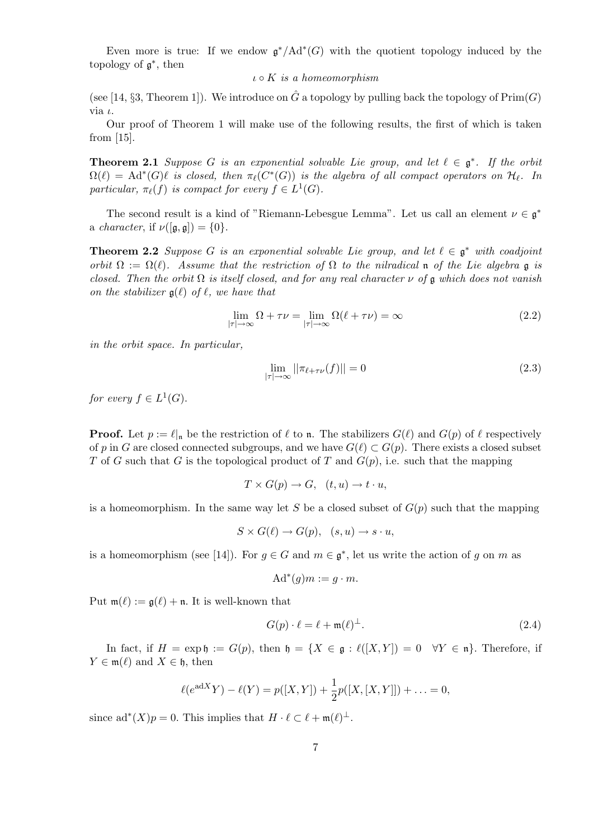Even more is true: If we endow  $\mathfrak{g}^*/\mathrm{Ad}^*(G)$  with the quotient topology induced by the topology of  $\mathfrak{g}^*$ , then

 $\iota \circ K$  is a homeomorphism

(see [14, §3, Theorem 1]). We introduce on  $\hat{G}$  a topology by pulling back the topology of  $\text{Prim}(G)$ via  $\iota$ .

Our proof of Theorem 1 will make use of the following results, the first of which is taken from [15].

**Theorem 2.1** Suppose G is an exponential solvable Lie group, and let  $\ell \in \mathfrak{g}^*$ . If the orbit  $\Omega(\ell) = \mathrm{Ad}^*(G)\ell$  is closed, then  $\pi_\ell(C^*(G))$  is the algebra of all compact operators on  $\mathcal{H}_\ell$ . In particular,  $\pi_{\ell}(f)$  is compact for every  $f \in L^1(G)$ .

The second result is a kind of "Riemann-Lebesgue Lemma". Let us call an element  $\nu \in \mathfrak{g}^*$ a *character*, if  $\nu([\mathfrak{g}, \mathfrak{g}]) = \{0\}.$ 

**Theorem 2.2** Suppose G is an exponential solvable Lie group, and let  $\ell \in \mathfrak{g}^*$  with coadjoint orbit  $\Omega := \Omega(\ell)$ . Assume that the restriction of  $\Omega$  to the nilradical n of the Lie algebra g is closed. Then the orbit  $\Omega$  is itself closed, and for any real character  $\nu$  of  $\mathfrak g$  which does not vanish on the stabilizer  $g(\ell)$  of  $\ell$ , we have that

$$
\lim_{|\tau| \to \infty} \Omega + \tau \nu = \lim_{|\tau| \to \infty} \Omega(\ell + \tau \nu) = \infty
$$
\n(2.2)

in the orbit space. In particular,

$$
\lim_{|\tau| \to \infty} ||\pi_{\ell + \tau \nu}(f)|| = 0 \tag{2.3}
$$

for every  $f \in L^1(G)$ .

**Proof.** Let  $p := \ell_{\vert n}$  be the restriction of  $\ell$  to n. The stabilizers  $G(\ell)$  and  $G(p)$  of  $\ell$  respectively of p in G are closed connected subgroups, and we have  $G(\ell) \subset G(p)$ . There exists a closed subset T of G such that G is the topological product of T and  $G(p)$ , i.e. such that the mapping

$$
T \times G(p) \to G, \quad (t, u) \to t \cdot u,
$$

is a homeomorphism. In the same way let S be a closed subset of  $G(p)$  such that the mapping

$$
S \times G(\ell) \to G(p), \ \ (s, u) \to s \cdot u,
$$

is a homeomorphism (see [14]). For  $g \in G$  and  $m \in \mathfrak{g}^*$ , let us write the action of g on m as

$$
Ad^*(g)m := g \cdot m.
$$

Put  $m(\ell) := g(\ell) + n$ . It is well-known that

$$
G(p) \cdot \ell = \ell + \mathfrak{m}(\ell)^{\perp}.
$$
 (2.4)

In fact, if  $H = \exp \mathfrak{h} := G(p)$ , then  $\mathfrak{h} = \{X \in \mathfrak{g} : \ell([X, Y]) = 0 \quad \forall Y \in \mathfrak{n}\}\)$ . Therefore, if  $Y \in \mathfrak{m}(\ell)$  and  $X \in \mathfrak{h}$ , then

$$
\ell(e^{adX}Y) - \ell(Y) = p([X,Y]) + \frac{1}{2}p([X,[X,Y]]) + \ldots = 0,
$$

since ad<sup>\*</sup> $(X)p = 0$ . This implies that  $H \cdot \ell \subset \ell + \mathfrak{m}(\ell)^{\perp}$ .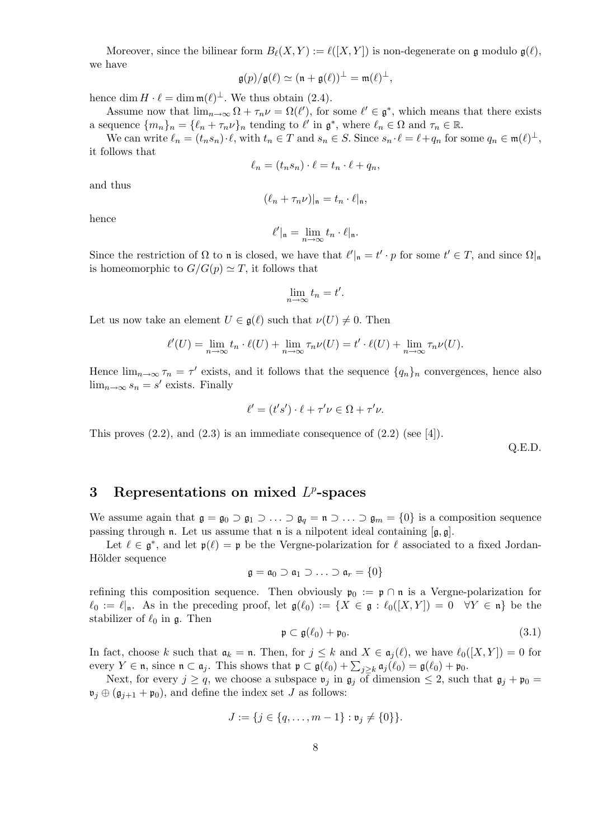Moreover, since the bilinear form  $B_{\ell}(X, Y) := \ell([X, Y])$  is non-degenerate on g modulo  $\mathfrak{g}(\ell)$ , we have

$$
\mathfrak{g}(p)/\mathfrak{g}(\ell) \simeq (\mathfrak{n} + \mathfrak{g}(\ell))^\perp = \mathfrak{m}(\ell)^\perp,
$$

hence dim  $H \cdot \ell = \dim \mathfrak{m}(\ell)^{\perp}$ . We thus obtain (2.4).

Assume now that  $\lim_{n\to\infty} \Omega + \tau_n \nu = \Omega(\ell')$ , for some  $\ell' \in \mathfrak{g}^*$ , which means that there exists a sequence  $\{m_n\}_n = \{\ell_n + \tau_n\nu\}_n$  tending to  $\ell'$  in  $\mathfrak{g}^*$ , where  $\ell_n \in \Omega$  and  $\tau_n \in \mathbb{R}$ .

We can write  $\ell_n = (t_n s_n) \cdot \ell$ , with  $t_n \in T$  and  $s_n \in S$ . Since  $s_n \cdot \ell = \ell + q_n$  for some  $q_n \in \mathfrak{m}(\ell)^{\perp}$ , it follows that

$$
\ell_n = (t_n s_n) \cdot \ell = t_n \cdot \ell + q_n,
$$

and thus

$$
(\ell_n + \tau_n \nu)|_{\mathfrak{n}} = t_n \cdot \ell|_{\mathfrak{n}},
$$

hence

$$
\ell'|_{\mathfrak{n}} = \lim_{n \to \infty} t_n \cdot \ell|_{\mathfrak{n}}.
$$

Since the restriction of  $\Omega$  to n is closed, we have that  $\ell'|_{n} = t' \cdot p$  for some  $t' \in T$ , and since  $\Omega|_{n}$ is homeomorphic to  $G/G(p) \simeq T$ , it follows that

$$
\lim_{n \to \infty} t_n = t'.
$$

Let us now take an element  $U \in \mathfrak{g}(\ell)$  such that  $\nu(U) \neq 0$ . Then

$$
\ell'(U) = \lim_{n \to \infty} t_n \cdot \ell(U) + \lim_{n \to \infty} \tau_n \nu(U) = t' \cdot \ell(U) + \lim_{n \to \infty} \tau_n \nu(U).
$$

Hence  $\lim_{n\to\infty} \tau_n = \tau'$  exists, and it follows that the sequence  $\{q_n\}_n$  convergences, hence also  $\lim_{n\to\infty} s_n = s'$  exists. Finally

$$
\ell' = (t's') \cdot \ell + \tau' \nu \in \Omega + \tau' \nu.
$$

This proves  $(2.2)$ , and  $(2.3)$  is an immediate consequence of  $(2.2)$  (see [4]).

Q.E.D.

## 3 Representations on mixed  $L^p$ -spaces

We assume again that  $\mathfrak{g} = \mathfrak{g}_0 \supset \mathfrak{g}_1 \supset \ldots \supset \mathfrak{g}_q = \mathfrak{n} \supset \ldots \supset \mathfrak{g}_m = \{0\}$  is a composition sequence passing through n. Let us assume that n is a nilpotent ideal containing  $[g, g]$ .

Let  $\ell \in \mathfrak{g}^*$ , and let  $\mathfrak{p}(\ell) = \mathfrak{p}$  be the Vergne-polarization for  $\ell$  associated to a fixed Jordan-Hölder sequence

$$
\mathfrak{g}=\mathfrak{a}_0\supset\mathfrak{a}_1\supset\ldots\supset\mathfrak{a}_r=\{0\}
$$

refining this composition sequence. Then obviously  $\mathfrak{p}_0 := \mathfrak{p} \cap \mathfrak{n}$  is a Vergne-polarization for  $\ell_0 := \ell_{\vert \mathfrak{n}}$ . As in the preceding proof, let  $\mathfrak{g}(\ell_0) := \{X \in \mathfrak{g} : \ell_0([X, Y]) = 0 \quad \forall Y \in \mathfrak{n}\}\)$  be the stabilizer of  $\ell_0$  in g. Then

$$
\mathfrak{p} \subset \mathfrak{g}(\ell_0) + \mathfrak{p}_0. \tag{3.1}
$$

In fact, choose k such that  $\mathfrak{a}_k = \mathfrak{n}$ . Then, for  $j \leq k$  and  $X \in \mathfrak{a}_i(\ell)$ , we have  $\ell_0([X, Y]) = 0$  for every  $Y \in \mathfrak{n}$ , since  $\mathfrak{n} \subset \mathfrak{a}_j$ . This shows that  $\mathfrak{p} \subset \mathfrak{g}(\ell_0) + \sum_{j \geq k} \mathfrak{a}_j(\ell_0) = \mathfrak{g}(\ell_0) + \mathfrak{p}_0$ .

Next, for every  $j \ge q$ , we choose a subspace  $\mathfrak{v}_j$  in  $\mathfrak{g}_j$  of dimension  $\le 2$ , such that  $\mathfrak{g}_j + \mathfrak{p}_0 =$  $\mathfrak{v}_j \oplus (\mathfrak{g}_{j+1} + \mathfrak{p}_0)$ , and define the index set J as follows:

$$
J := \{ j \in \{ q, \ldots, m-1 \} : \mathfrak{v}_j \neq \{ 0 \} \}.
$$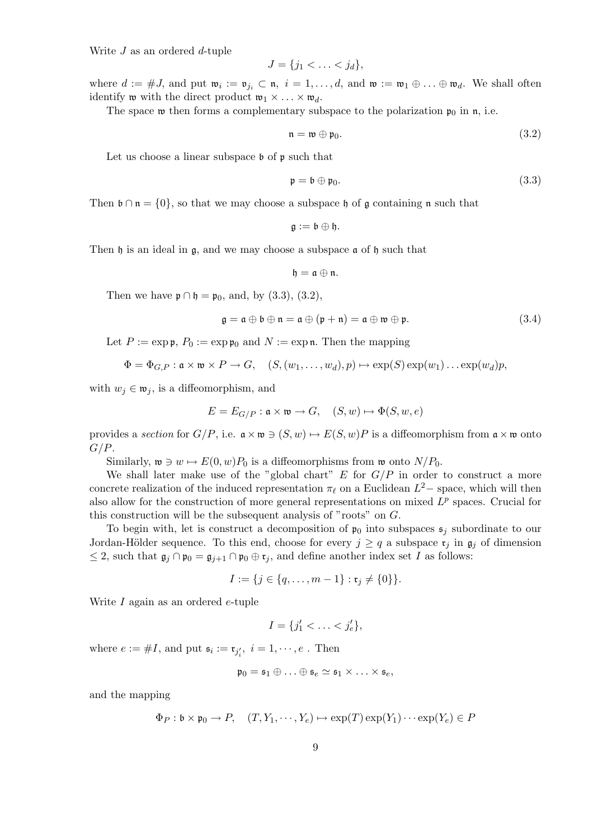Write  $J$  as an ordered  $d$ -tuple

$$
J = \{j_1 < \ldots < j_d\},\
$$

where  $d := \#J$ , and put  $\mathfrak{w}_i := \mathfrak{v}_{j_i} \subset \mathfrak{n}, i = 1, \ldots, d$ , and  $\mathfrak{w} := \mathfrak{w}_1 \oplus \ldots \oplus \mathfrak{w}_d$ . We shall often identify **w** with the direct product  $\mathfrak{w}_1 \times \ldots \times \mathfrak{w}_d$ .

The space w then forms a complementary subspace to the polarization  $\mathfrak{p}_0$  in n, i.e.

$$
\mathfrak{n} = \mathfrak{w} \oplus \mathfrak{p}_0. \tag{3.2}
$$

Let us choose a linear subspace  $\mathfrak b$  of  $\mathfrak p$  such that

$$
\mathfrak{p} = \mathfrak{b} \oplus \mathfrak{p}_0. \tag{3.3}
$$

Then  $\mathfrak{b} \cap \mathfrak{n} = \{0\}$ , so that we may choose a subspace  $\mathfrak{h}$  of g containing  $\mathfrak{n}$  such that

$$
\mathfrak{g}:=\mathfrak{b}\oplus\mathfrak{h}.
$$

Then h is an ideal in g, and we may choose a subspace  $\alpha$  of h such that

$$
\mathfrak{h}=\mathfrak{a}\oplus\mathfrak{n}.
$$

Then we have  $\mathfrak{p} \cap \mathfrak{h} = \mathfrak{p}_0$ , and, by (3.3), (3.2),

$$
\mathfrak{g} = \mathfrak{a} \oplus \mathfrak{b} \oplus \mathfrak{n} = \mathfrak{a} \oplus (\mathfrak{p} + \mathfrak{n}) = \mathfrak{a} \oplus \mathfrak{w} \oplus \mathfrak{p}.
$$
 (3.4)

Let  $P := \exp \mathfrak{p}$ ,  $P_0 := \exp \mathfrak{p}_0$  and  $N := \exp \mathfrak{n}$ . Then the mapping

$$
\Phi = \Phi_{G,P} : \mathfrak{a} \times \mathfrak{w} \times P \to G, \quad (S,(w_1,\ldots,w_d),p) \mapsto \exp(S) \exp(w_1) \ldots \exp(w_d)p,
$$

with  $w_j \in \mathfrak{w}_j$ , is a diffeomorphism, and

$$
E = E_{G/P} : \mathfrak{a} \times \mathfrak{w} \to G, \quad (S, w) \mapsto \Phi(S, w, e)
$$

provides a section for  $G/P$ , i.e.  $\mathfrak{a} \times \mathfrak{w} \ni (S, w) \mapsto E(S, w)P$  is a diffeomorphism from  $\mathfrak{a} \times \mathfrak{w}$  onto  $G/P$ .

Similarly,  $\mathfrak{w} \ni w \mapsto E(0, w)P_0$  is a diffeomorphisms from  $\mathfrak{w}$  onto  $N/P_0$ .

We shall later make use of the "global chart"  $E$  for  $G/P$  in order to construct a more concrete realization of the induced representation  $\pi_{\ell}$  on a Euclidean  $L^2$ – space, which will then also allow for the construction of more general representations on mixed  $L^p$  spaces. Crucial for this construction will be the subsequent analysis of "roots" on G.

To begin with, let is construct a decomposition of  $\mathfrak{p}_0$  into subspaces  $\mathfrak{s}_i$  subordinate to our Jordan-Hölder sequence. To this end, choose for every  $j \geq q$  a subspace  $\mathfrak{r}_j$  in  $\mathfrak{g}_j$  of dimension  $\leq$  2, such that  $\mathfrak{g}_j \cap \mathfrak{p}_0 = \mathfrak{g}_{j+1} \cap \mathfrak{p}_0 \oplus \mathfrak{r}_j$ , and define another index set I as follows:

$$
I := \{ j \in \{ q, \ldots, m-1 \} : \mathfrak{r}_j \neq \{ 0 \} \}.
$$

Write I again as an ordered e-tuple

$$
I = \{j'_1 < \ldots < j'_e\},
$$

where  $e := \#I$ , and put  $\mathfrak{s}_i := \mathfrak{r}_{j'_i}, i = 1, \cdots, e$ . Then

$$
\mathfrak{p}_0 = \mathfrak{s}_1 \oplus \ldots \oplus \mathfrak{s}_e \simeq \mathfrak{s}_1 \times \ldots \times \mathfrak{s}_e,
$$

and the mapping

$$
\Phi_P: \mathfrak{b} \times \mathfrak{p}_0 \to P, \quad (T, Y_1, \cdots, Y_e) \mapsto \exp(T) \exp(Y_1) \cdots \exp(Y_e) \in P
$$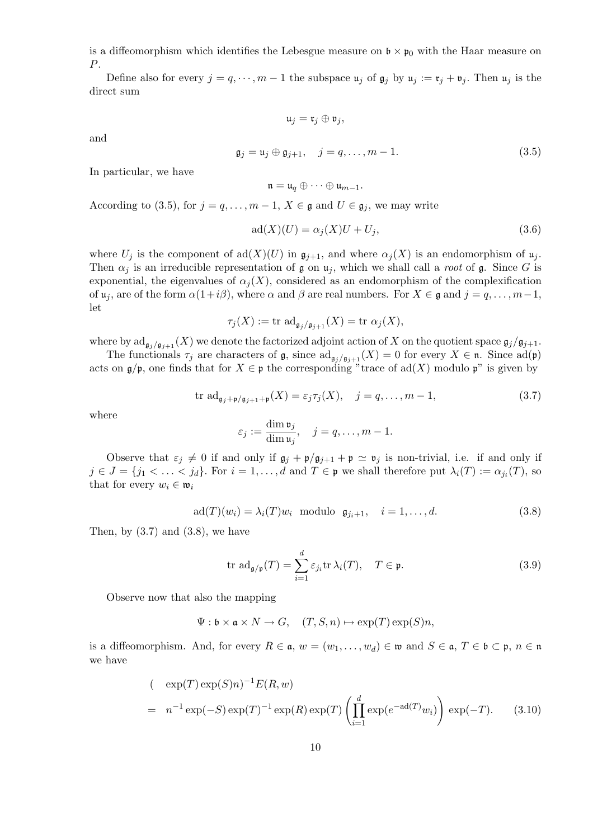is a diffeomorphism which identifies the Lebesgue measure on  $\mathfrak{b} \times \mathfrak{p}_0$  with the Haar measure on P.

Define also for every  $j = q, \dots, m - 1$  the subspace  $\mathfrak{u}_j$  of  $\mathfrak{g}_j$  by  $\mathfrak{u}_j := \mathfrak{r}_j + \mathfrak{v}_j$ . Then  $\mathfrak{u}_j$  is the direct sum

$$
\mathfrak{u}_j = \mathfrak{r}_j \oplus \mathfrak{v}_j,
$$

and

$$
\mathfrak{g}_j = \mathfrak{u}_j \oplus \mathfrak{g}_{j+1}, \quad j = q, \dots, m-1.
$$
\n
$$
(3.5)
$$

In particular, we have

$$
\mathfrak{n}=\mathfrak{u}_q\oplus\cdots\oplus\mathfrak{u}_{m-1}.
$$

According to (3.5), for  $j = q, \ldots, m-1$ ,  $X \in \mathfrak{g}$  and  $U \in \mathfrak{g}_j$ , we may write

$$
ad(X)(U) = \alpha_j(X)U + U_j,
$$
\n(3.6)

where  $U_j$  is the component of  $\text{ad}(X)(U)$  in  $\mathfrak{g}_{j+1}$ , and where  $\alpha_j(X)$  is an endomorphism of  $\mathfrak{u}_j$ . Then  $\alpha_j$  is an irreducible representation of g on  $\mu_j$ , which we shall call a *root* of g. Since G is exponential, the eigenvalues of  $\alpha_j(X)$ , considered as an endomorphism of the complexification of  $u_j$ , are of the form  $\alpha(1+i\beta)$ , where  $\alpha$  and  $\beta$  are real numbers. For  $X \in \mathfrak{g}$  and  $j = q, \ldots, m-1$ , let

$$
\tau_j(X) := \text{tr } \text{ad}_{\mathfrak{g}_j/\mathfrak{g}_{j+1}}(X) = \text{tr } \alpha_j(X),
$$

where by  $\text{ad}_{\mathfrak{g}_i/\mathfrak{g}_{i+1}}(X)$  we denote the factorized adjoint action of X on the quotient space  $\mathfrak{g}_j/\mathfrak{g}_{j+1}$ .

The functionals  $\tau_j$  are characters of  $\mathfrak{g}$ , since  $\text{ad}_{\mathfrak{g}_j/\mathfrak{g}_{j+1}}(X) = 0$  for every  $X \in \mathfrak{n}$ . Since  $\text{ad}(\mathfrak{p})$ acts on  $\mathfrak{g}/\mathfrak{p}$ , one finds that for  $X \in \mathfrak{p}$  the corresponding "trace of ad(X) modulo  $\mathfrak{p}$ " is given by

$$
\text{tr } \text{ad}_{\mathfrak{g}_j + \mathfrak{p}/\mathfrak{g}_{j+1} + \mathfrak{p}}(X) = \varepsilon_j \tau_j(X), \quad j = q, \dots, m-1,
$$
\n(3.7)

where

$$
\varepsilon_j := \frac{\dim \mathfrak{v}_j}{\dim \mathfrak{u}_j}, \quad j = q, \dots, m-1.
$$

Observe that  $\varepsilon_j \neq 0$  if and only if  $\mathfrak{g}_j + \mathfrak{p}/\mathfrak{g}_{j+1} + \mathfrak{p} \simeq \mathfrak{v}_j$  is non-trivial, i.e. if and only if  $j \in J = \{j_1 < \ldots < j_d\}$ . For  $i = 1, \ldots, d$  and  $T \in \mathfrak{p}$  we shall therefore put  $\lambda_i(T) := \alpha_{j_i}(T)$ , so that for every  $w_i \in \mathfrak{w}_i$ 

$$
ad(T)(w_i) = \lambda_i(T)w_i \text{ modulo } \mathfrak{g}_{j_i+1}, \quad i = 1, \dots, d. \tag{3.8}
$$

Then, by  $(3.7)$  and  $(3.8)$ , we have

$$
\operatorname{tr}\, \operatorname{ad}_{\mathfrak{g}/\mathfrak{p}}(T) = \sum_{i=1}^{d} \varepsilon_{j_i} \operatorname{tr} \lambda_i(T), \quad T \in \mathfrak{p}.\tag{3.9}
$$

Observe now that also the mapping

$$
\Psi: \mathfrak{b} \times \mathfrak{a} \times N \to G, \quad (T, S, n) \mapsto \exp(T) \exp(S) n,
$$

is a diffeomorphism. And, for every  $R \in \mathfrak{a}$ ,  $w = (w_1, \ldots, w_d) \in \mathfrak{w}$  and  $S \in \mathfrak{a}$ ,  $T \in \mathfrak{b} \subset \mathfrak{p}$ ,  $n \in \mathfrak{n}$ we have

$$
(\exp(T)\exp(S)n)^{-1}E(R,w)
$$
  
=  $n^{-1}\exp(-S)\exp(T)^{-1}\exp(R)\exp(T)\left(\prod_{i=1}^{d}\exp(e^{-ad(T)}w_i)\right)\exp(-T).$  (3.10)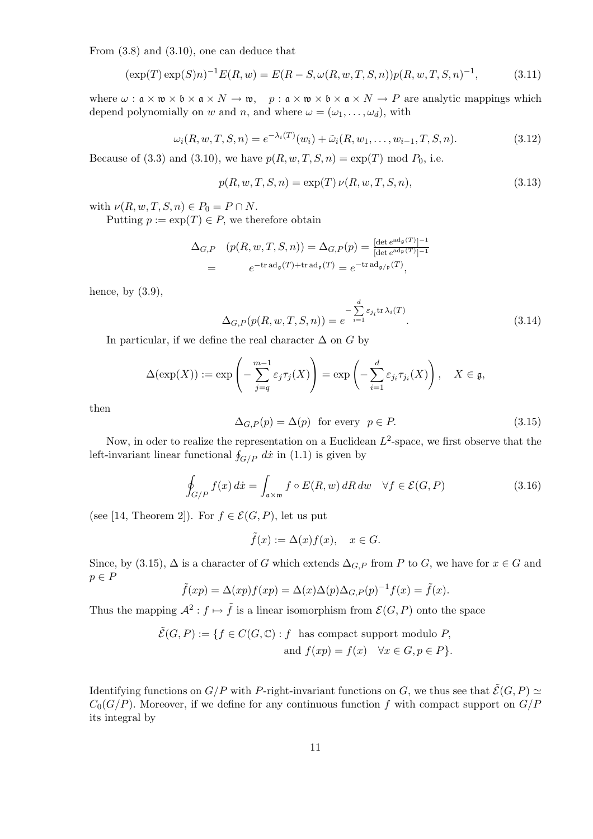From (3.8) and (3.10), one can deduce that

$$
(\exp(T)\exp(S)n)^{-1}E(R, w) = E(R - S, \omega(R, w, T, S, n))p(R, w, T, S, n)^{-1},
$$
\n(3.11)

where  $\omega : \mathfrak{a} \times \mathfrak{w} \times \mathfrak{b} \times \mathfrak{a} \times N \to \mathfrak{w}$ ,  $p : \mathfrak{a} \times \mathfrak{w} \times \mathfrak{b} \times \mathfrak{a} \times N \to P$  are analytic mappings which depend polynomially on w and n, and where  $\omega = (\omega_1, \dots, \omega_d)$ , with

$$
\omega_i(R, w, T, S, n) = e^{-\lambda_i(T)}(w_i) + \tilde{\omega}_i(R, w_1, \dots, w_{i-1}, T, S, n).
$$
\n(3.12)

Because of (3.3) and (3.10), we have  $p(R, w, T, S, n) = \exp(T) \text{ mod } P_0$ , i.e.

$$
p(R, w, T, S, n) = \exp(T) \nu(R, w, T, S, n),
$$
\n(3.13)

with  $\nu(R, w, T, S, n) \in P_0 = P \cap N$ .

Putting  $p := \exp(T) \in P$ , we therefore obtain

$$
\Delta_{G,P} \quad (p(R, w, T, S, n)) = \Delta_{G,P}(p) = \frac{[\det e^{\mathrm{ad}_{\mathfrak{g}}(T)}]^{-1}}{[\det e^{\mathrm{ad}_{\mathfrak{p}}(T)}]^{-1}}
$$
  
= 
$$
e^{-\mathrm{tr}\,\mathrm{ad}_{\mathfrak{g}}(T) + \mathrm{tr}\,\mathrm{ad}_{\mathfrak{p}}(T)} = e^{-\mathrm{tr}\,\mathrm{ad}_{\mathfrak{g}/\mathfrak{p}}(T)},
$$

hence, by  $(3.9)$ ,

$$
\Delta_{G,P}(p(R, w, T, S, n)) = e^{-\sum_{i=1}^{d} \varepsilon_{j_i} \text{tr}\,\lambda_i(T)}.
$$
\n(3.14)

In particular, if we define the real character  $\Delta$  on G by

$$
\Delta(\exp(X)) := \exp\left(-\sum_{j=q}^{m-1} \varepsilon_j \tau_j(X)\right) = \exp\left(-\sum_{i=1}^d \varepsilon_{j_i} \tau_{j_i}(X)\right), \quad X \in \mathfrak{g},
$$

then

$$
\Delta_{G,P}(p) = \Delta(p) \quad \text{for every} \quad p \in P. \tag{3.15}
$$

Now, in oder to realize the representation on a Euclidean  $L^2$ -space, we first observe that the Frow, in ouer to realize the representation on a Euclidean left-invariant linear functional  $\oint_{G/P} dx$  in (1.1) is given by

$$
\oint_{G/P} f(x) dx = \int_{\mathfrak{a} \times \mathfrak{w}} f \circ E(R, w) dR dw \quad \forall f \in \mathcal{E}(G, P)
$$
\n(3.16)

(see [14, Theorem 2]). For  $f \in \mathcal{E}(G, P)$ , let us put

$$
\tilde{f}(x) := \Delta(x) f(x), \quad x \in G.
$$

Since, by (3.15),  $\Delta$  is a character of G which extends  $\Delta_{G,P}$  from P to G, we have for  $x \in G$  and  $p \in P$ 

$$
\tilde{f}(xp) = \Delta(xp)f(xp) = \Delta(x)\Delta(p)\Delta_{G,P}(p)^{-1}f(x) = \tilde{f}(x).
$$

Thus the mapping  $\mathcal{A}^2 : f \mapsto \tilde{f}$  is a linear isomorphism from  $\mathcal{E}(G, P)$  onto the space

$$
\tilde{\mathcal{E}}(G, P) := \{ f \in C(G, \mathbb{C}) : f \text{ has compact support modulo } P, \n\text{ and } f(xp) = f(x) \quad \forall x \in G, p \in P \}.
$$

Identifying functions on  $G/P$  with P-right-invariant functions on G, we thus see that  $\tilde{\mathcal{E}}(G, P) \simeq$  $C_0(G/P)$ . Moreover, if we define for any continuous function f with compact support on  $G/P$ its integral by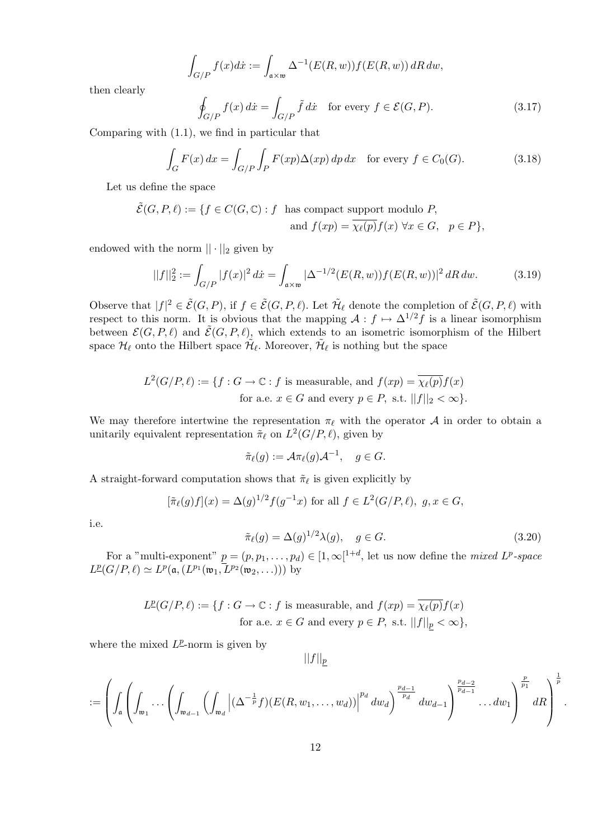$$
\int_{G/P} f(x)dx := \int_{\mathfrak{a} \times \mathfrak{w}} \Delta^{-1}(E(R, w)) f(E(R, w)) \, dR \, dw,
$$

then clearly

$$
\oint_{G/P} f(x) dx = \int_{G/P} \tilde{f} dx \quad \text{for every } f \in \mathcal{E}(G, P). \tag{3.17}
$$

Comparing with (1.1), we find in particular that

$$
\int_{G} F(x) dx = \int_{G/P} \int_{P} F(xp) \Delta(xp) dp dx \quad \text{for every } f \in C_0(G).
$$
 (3.18)

Let us define the space

$$
\tilde{\mathcal{E}}(G, P, \ell) := \{ f \in C(G, \mathbb{C}) : f \text{ has compact support modulo } P, \n\text{ and } f(xp) = \overline{\chi_{\ell}(p)} f(x) \,\,\forall x \in G, \, p \in P \},
$$

endowed with the norm  $|| \cdot ||_2$  given by

$$
||f||_2^2 := \int_{G/P} |f(x)|^2 dx = \int_{\mathfrak{a} \times \mathfrak{w}} |\Delta^{-1/2}(E(R, w)) f(E(R, w))|^2 dR dw.
$$
 (3.19)

Observe that  $|f|^2 \in \tilde{\mathcal{E}}(G, P)$ , if  $f \in \tilde{\mathcal{E}}(G, P, \ell)$ . Let  $\tilde{\mathcal{H}}_{\ell}$  denote the completion of  $\tilde{\mathcal{E}}(G, P, \ell)$  with respect to this norm. It is obvious that the mapping  $\mathcal{A}: f \mapsto \Delta^{1/2}f$  is a linear isomorphism between  $\mathcal{E}(G, P, \ell)$  and  $\tilde{\mathcal{E}}(G, P, \ell)$ , which extends to an isometric isomorphism of the Hilbert space  $\mathcal{H}_\ell$  onto the Hilbert space  $\tilde{\mathcal{H}}_\ell$ . Moreover,  $\tilde{\mathcal{H}}_\ell$  is nothing but the space

$$
L^2(G/P, \ell) := \{ f : G \to \mathbb{C} : f \text{ is measurable, and } f(xp) = \overline{\chi_{\ell}(p)} f(x)
$$
  
for a.e.  $x \in G$  and every  $p \in P$ , s.t.  $||f||_2 < \infty \}.$ 

We may therefore intertwine the representation  $\pi_{\ell}$  with the operator A in order to obtain a unitarily equivalent representation  $\tilde{\pi}_{\ell}$  on  $L^2(G/P, \ell)$ , given by

$$
\tilde{\pi}_{\ell}(g) := \mathcal{A}\pi_{\ell}(g)\mathcal{A}^{-1}, \quad g \in G.
$$

A straight-forward computation shows that  $\tilde{\pi}_{\ell}$  is given explicitly by

$$
[\tilde{\pi}_{\ell}(g)f](x) = \Delta(g)^{1/2} f(g^{-1}x) \text{ for all } f \in L^2(G/P, \ell), \ g, x \in G,
$$

i.e.

$$
\tilde{\pi}_{\ell}(g) = \Delta(g)^{1/2} \lambda(g), \quad g \in G. \tag{3.20}
$$

.

For a "multi-exponent"  $p = (p, p_1, \ldots, p_d) \in [1, \infty]^{1+d}$ , let us now define the *mixed*  $L^p$ -space  $L^{\underline{p}}(G/P, \ell) \simeq L^{\underline{p}}(\mathfrak{a}, (L^{p_1}(\mathfrak{w}_1, L^{p_2}(\mathfrak{w}_2, \ldots)))$  by

$$
L^{\underline{p}}(G/P, \ell) := \{ f : G \to \mathbb{C} : f \text{ is measurable, and } f(xp) = \overline{\chi_{\ell}(p)} f(x)
$$
  
for a.e.  $x \in G$  and every  $p \in P$ , s.t.  $||f||_p < \infty \}$ ,

where the mixed  $L^{\underline{p}}$ -norm is given by

 $||f||_p$ 

$$
:=\left(\int_{\mathfrak a}\left(\int_{\mathfrak w_1}\cdots \left(\int_{\mathfrak w_{d-1}}\left(\int_{\mathfrak w_d}\left|(\Delta^{-\frac{1}{p}}f)(E(R,w_1,\ldots,w_d))\right|^{p_d} dw_d\right)^{\frac{p_{d-1}}{p_d}} dw_{d-1}\right)^{\frac{p_{d-2}}{p_{d-1}}}\cdots dw_1\right)^{\frac{p}{p_1}}dR\right)^{\frac{1}{p}}
$$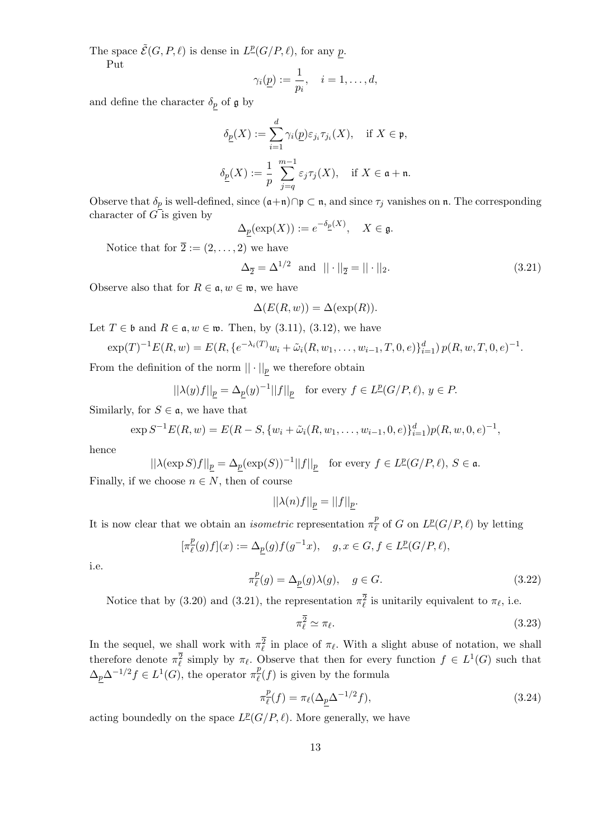The space  $\tilde{\mathcal{E}}(G, P, \ell)$  is dense in  $L^{\mathcal{P}}(G/P, \ell)$ , for any p. Put

$$
\gamma_i(\underline{p}) := \frac{1}{p_i}, \quad i = 1, \dots, d,
$$

and define the character  $\delta_p$  of g by

$$
\delta_{\underline{p}}(X) := \sum_{i=1}^{d} \gamma_i(\underline{p}) \varepsilon_{j_i} \tau_{j_i}(X), \quad \text{if } X \in \mathfrak{p},
$$
  

$$
\delta_{\underline{p}}(X) := \frac{1}{p} \sum_{j=q}^{m-1} \varepsilon_j \tau_j(X), \quad \text{if } X \in \mathfrak{a} + \mathfrak{n}.
$$

Observe that  $\delta_p$  is well-defined, since  $(\mathfrak{a}+\mathfrak{n})\cap\mathfrak{p}\subset\mathfrak{n}$ , and since  $\tau_j$  vanishes on  $\mathfrak{n}$ . The corresponding character of  $G$  is given by

$$
\Delta_{\underline{p}}(\exp(X)) := e^{-\delta_{\underline{p}}(X)}, \quad X \in \mathfrak{g}.
$$

Notice that for  $\overline{2} := (2, \ldots, 2)$  we have

$$
\Delta_{\overline{2}} = \Delta^{1/2} \text{ and } || \cdot ||_{\overline{2}} = || \cdot ||_2. \tag{3.21}
$$

Observe also that for  $R \in \mathfrak{a}, w \in \mathfrak{w}$ , we have

$$
\Delta(E(R, w)) = \Delta(\exp(R)).
$$

Let  $T \in \mathfrak{b}$  and  $R \in \mathfrak{a}, w \in \mathfrak{w}$ . Then, by (3.11), (3.12), we have

$$
\exp(T)^{-1}E(R,w)=E(R,\{e^{-\lambda_i(T)}w_i+\tilde{\omega}_i(R,w_1,\ldots,w_{i-1},T,0,e)\}_{i=1}^d)p(R,w,T,0,e)^{-1}.
$$

From the definition of the norm  $|| \cdot ||_p$  we therefore obtain

$$
||\lambda(y)f||_{\underline{p}} = \Delta_{\underline{p}}(y)^{-1}||f||_{\underline{p}} \quad \text{for every } f \in L^{\underline{p}}(G/P, \ell), \ y \in P.
$$

Similarly, for  $S \in \mathfrak{a}$ , we have that

$$
\exp S^{-1}E(R, w) = E(R - S, \{w_i + \tilde{\omega}_i(R, w_1, \dots, w_{i-1}, 0, e)\}_{i=1}^d)p(R, w, 0, e)^{-1},
$$

hence

$$
||\lambda(\exp S)f||_{\underline{p}}=\Delta_{\underline{p}}(\exp(S))^{-1}||f||_{\underline{p}}\quad\text{for every }f\in L^{\underline{p}}(G/P,\ell),\,S\in\mathfrak{a}.
$$

Finally, if we choose  $n \in N$ , then of course

$$
||\lambda(n)f||_{\underline{p}}=||f||_{\underline{p}}.
$$

It is now clear that we obtain an *isometric* representation  $\pi_{\ell}^{\frac{p}{p}}$  $\frac{p}{\ell}$  of G on  $L^{\underline{p}}(G/P, \ell)$  by letting

$$
[\pi^{\underline{p}}_{\ell}(g)f](x):=\Delta_{\underline{p}}(g)f(g^{-1}x),\quad g,x\in G, f\in L^{\underline{p}}(G/P,\ell),
$$

i.e.

$$
\pi_{\ell}^{p}(g) = \Delta_{\underline{p}}(g)\lambda(g), \quad g \in G. \tag{3.22}
$$

Notice that by (3.20) and (3.21), the representation  $\pi_{\ell}^2$  is unitarily equivalent to  $\pi_{\ell}$ , i.e.

$$
\pi_{\ell}^{\overline{2}} \simeq \pi_{\ell}.\tag{3.23}
$$

In the sequel, we shall work with  $\pi_{\ell}^2$  in place of  $\pi_{\ell}$ . With a slight abuse of notation, we shall therefore denote  $\pi_{\ell}^2$  simply by  $\pi_{\ell}$ . Observe that then for every function  $f \in L^1(G)$  such that  $\Delta_p \Delta^{-1/2} f \in L^1(G)$ , the operator  $\pi \frac{p}{\ell}$  $\frac{P}{\ell}(f)$  is given by the formula

$$
\pi_{\ell}^p(f) = \pi_{\ell}(\Delta_{\underline{p}}\Delta^{-1/2}f),\tag{3.24}
$$

acting boundedly on the space  $L^p(G/P, \ell)$ . More generally, we have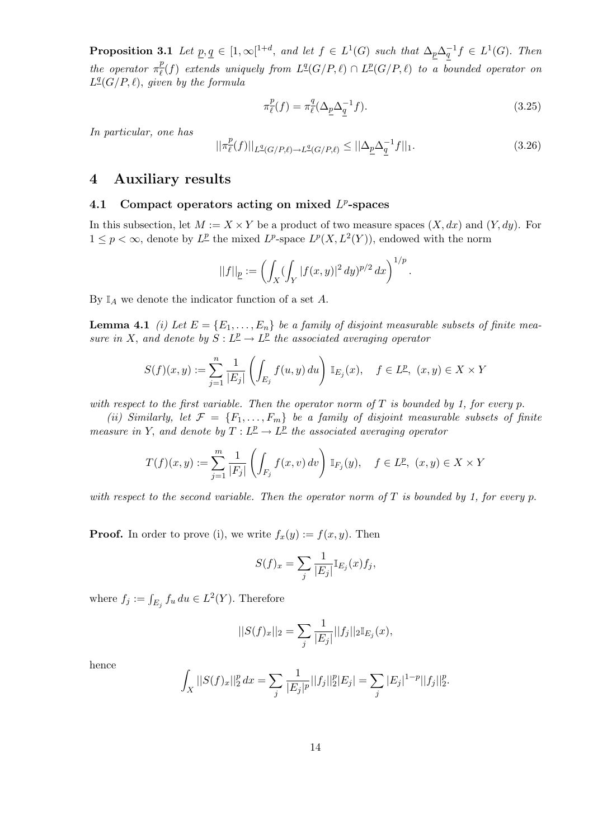**Proposition 3.1** Let  $\underline{p}, \underline{q} \in [1, \infty[^{1+d}, \text{ and let } f \in L^1(G) \text{ such that } \Delta_p \Delta_q^{-1} f \in L^1(G)$ . Then the operator  $\pi_{\ell}^p$  $\frac{p}{\ell}(f)$  extends uniquely from  $L^{\underline{q}}(G/P, \ell) \cap L^{\underline{p}}(G/P, \ell)$  to a bounded operator on  $L<sup>q</sup>(G/P, \ell)$ , given by the formula

$$
\pi_{\ell}^p(f) = \pi_{\ell}^q(\Delta_{\underline{p}}\Delta_{\underline{q}}^{-1}f). \tag{3.25}
$$

In particular, one has

$$
||\pi_{\ell}^{p}(f)||_{L^{q}(G/P,\ell)\to L^{q}(G/P,\ell)} \leq ||\Delta_{\underline{p}}\Delta_{\underline{q}}^{-1}f||_{1}.
$$
\n(3.26)

#### 4 Auxiliary results

#### 4.1 Compact operators acting on mixed  $L^p$ -spaces

In this subsection, let  $M := X \times Y$  be a product of two measure spaces  $(X, dx)$  and  $(Y, dy)$ . For  $1 \leq p < \infty$ , denote by  $L^p$  the mixed  $L^p$ -space  $L^p(X, L^2(Y))$ , endowed with the norm

$$
||f||_{\underline{p}}:=\left(\int_X (\int_Y |f(x,y)|^2\,dy)^{p/2}\,dx\right)^{1/p}.
$$

By  $\mathbb{I}_A$  we denote the indicator function of a set A.

**Lemma 4.1** (i) Let  $E = \{E_1, \ldots, E_n\}$  be a family of disjoint measurable subsets of finite measure in X, and denote by  $S: L^p \to L^p$  the associated averaging operator

$$
S(f)(x,y) := \sum_{j=1}^n \frac{1}{|E_j|} \left( \int_{E_j} f(u,y) \, du \right) \mathbb{I}_{E_j}(x), \quad f \in L^p, \ (x,y) \in X \times Y
$$

with respect to the first variable. Then the operator norm of  $T$  is bounded by 1, for every p.

(ii) Similarly, let  $\mathcal{F} = \{F_1, \ldots, F_m\}$  be a family of disjoint measurable subsets of finite measure in Y, and denote by  $T: L^p \to L^p$  the associated averaging operator

$$
T(f)(x,y) := \sum_{j=1}^{m} \frac{1}{|F_j|} \left( \int_{F_j} f(x,v) \, dv \right) \mathbb{I}_{F_j}(y), \quad f \in L^{\underline{p}}, \ (x,y) \in X \times Y
$$

with respect to the second variable. Then the operator norm of  $T$  is bounded by 1, for every p.

**Proof.** In order to prove (i), we write  $f_x(y) := f(x, y)$ . Then

$$
S(f)_x = \sum_j \frac{1}{|E_j|} \mathbb{I}_{E_j}(x) f_j,
$$

where  $f_j := \int_{E_j} f_u du \in L^2(Y)$ . Therefore

$$
||S(f)_x||_2 = \sum_j \frac{1}{|E_j|} ||f_j||_2 \mathbb{I}_{E_j}(x),
$$

hence

$$
\int_X ||S(f)_x||_2^p dx = \sum_j \frac{1}{|E_j|^p} ||f_j||_2^p |E_j| = \sum_j |E_j|^{1-p} ||f_j||_2^p.
$$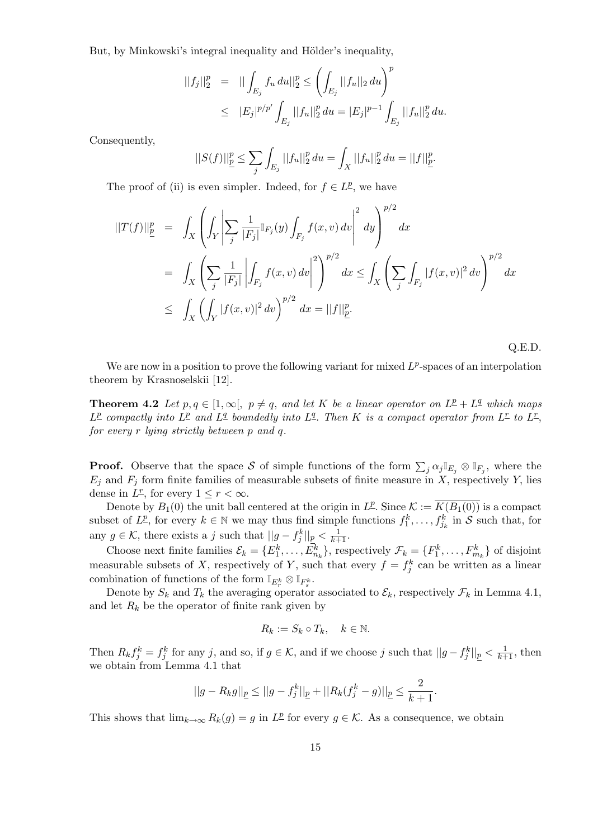But, by Minkowski's integral inequality and Hölder's inequality,

$$
||f_j||_2^p = || \int_{E_j} f_u du||_2^p \le \left( \int_{E_j} ||f_u||_2 du \right)^p
$$
  

$$
\le |E_j|^{p/p'} \int_{E_j} ||f_u||_2^p du = |E_j|^{p-1} \int_{E_j} ||f_u||_2^p du.
$$

Consequently,

$$
||S(f)||_{\underline{p}}^p \leq \sum_{j} \int_{E_j} ||f_u||_2^p du = \int_X ||f_u||_2^p du = ||f||_{\underline{p}}^p.
$$

The proof of (ii) is even simpler. Indeed, for  $f \in L^p$ , we have

$$
\begin{split} ||T(f)||_{\underline{p}}^{p} &= \int_{X} \left( \int_{Y} \left| \sum_{j} \frac{1}{|F_{j}|} \mathbb{I}_{F_{j}}(y) \int_{F_{j}} f(x, v) \, dv \right|^{2} \, dy \right)^{p/2} dx \\ &= \int_{X} \left( \sum_{j} \frac{1}{|F_{j}|} \left| \int_{F_{j}} f(x, v) \, dv \right|^{2} \right)^{p/2} dx \le \int_{X} \left( \sum_{j} \int_{F_{j}} |f(x, v)|^{2} \, dv \right)^{p/2} dx \\ &\le \int_{X} \left( \int_{Y} |f(x, v)|^{2} \, dv \right)^{p/2} dx = ||f||_{\underline{p}}^{p}. \end{split}
$$

Q.E.D.

We are now in a position to prove the following variant for mixed  $L^p$ -spaces of an interpolation theorem by Krasnoselskii [12].

**Theorem 4.2** Let  $p, q \in [1, \infty], p \neq q$ , and let K be a linear operator on  $L^p + L^q$  which maps  $L^{\underline{p}}$  compactly into  $L^{\underline{p}}$  and  $L^{\underline{q}}$  boundedly into  $L^{\underline{q}}$ . Then K is a compact operator from  $L^{\underline{r}}$  to  $L^{\underline{r}}$ , for every r lying strictly between p and q.

**Proof.** Observe that the space S of simple functions of the form  $\sum_j \alpha_j \mathbb{I}_{E_j} \otimes \mathbb{I}_{F_j}$ , where the  $E_i$  and  $F_j$  form finite families of measurable subsets of finite measure in X, respectively Y, lies dense in  $L^r$ , for every  $1 \leq r < \infty$ .

Denote by  $B_1(0)$  the unit ball centered at the origin in  $L^p$ . Since  $\mathcal{K} := \overline{K(B_1(0))}$  is a compact subset of  $L^p$ , for every  $k \in \mathbb{N}$  we may thus find simple functions  $f_1^k, \ldots, f_{j_k}^k$  in S such that, for any  $g \in \mathcal{K}$ , there exists a j such that  $||g - f_j^k||_p < \frac{1}{k+1}$ .

Choose next finite families  $\mathcal{E}_k = \{E_1^k, \ldots, E_{n_k}^k\}$ , respectively  $\mathcal{F}_k = \{F_1^k, \ldots, F_{m_k}^k\}$  of disjoint measurable subsets of X, respectively of Y, such that every  $f = f_j^k$  can be written as a linear combination of functions of the form  $\mathbb{I}_{E_r^k} \otimes \mathbb{I}_{F_s^k}$ .

Denote by  $S_k$  and  $T_k$  the averaging operator associated to  $\mathcal{E}_k$ , respectively  $\mathcal{F}_k$  in Lemma 4.1, and let  $R_k$  be the operator of finite rank given by

$$
R_k := S_k \circ T_k, \quad k \in \mathbb{N}.
$$

Then  $R_k f_j^k = f_j^k$  for any j, and so, if  $g \in \mathcal{K}$ , and if we choose j such that  $||g - f_j^k||_p < \frac{1}{k+1}$ , then we obtain from Lemma 4.1 that

$$
||g-R_kg||_{\underline{p}}\leq ||g-f_j^k||_{\underline{p}}+||R_k(f_j^k-g)||_{\underline{p}}\leq \frac{2}{k+1}.
$$

This shows that  $\lim_{k\to\infty} R_k(g) = g$  in  $L^p$  for every  $g \in \mathcal{K}$ . As a consequence, we obtain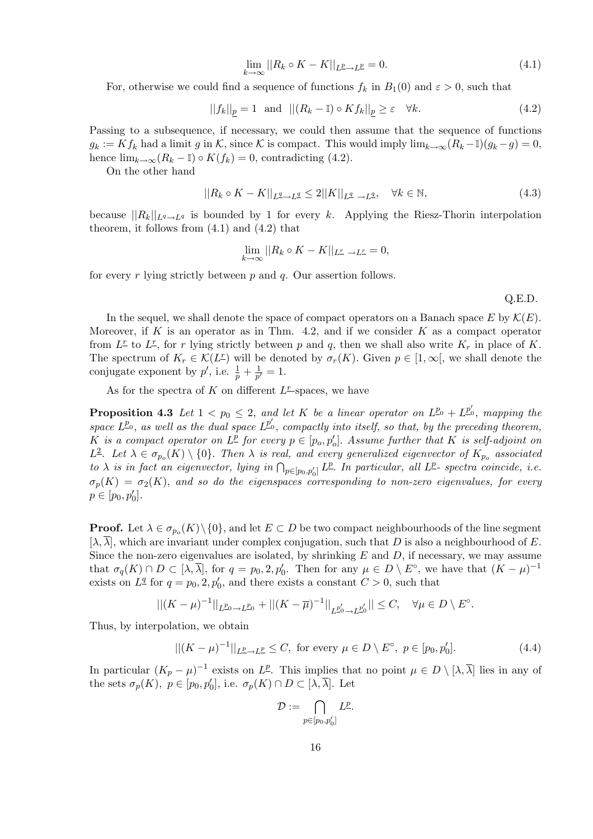$$
\lim_{k \to \infty} ||R_k \circ K - K||_{L^p \to L^p} = 0. \tag{4.1}
$$

For, otherwise we could find a sequence of functions  $f_k$  in  $B_1(0)$  and  $\varepsilon > 0$ , such that

$$
||f_k||_{\underline{p}} = 1 \text{ and } ||(R_k - \mathbb{I}) \circ K f_k||_{\underline{p}} \ge \varepsilon \quad \forall k. \tag{4.2}
$$

Passing to a subsequence, if necessary, we could then assume that the sequence of functions  $g_k := K f_k$  had a limit g in K, since K is compact. This would imply  $\lim_{k\to\infty} (R_k - I)(g_k - g) = 0$ , hence  $\lim_{k\to\infty}(R_k - \mathbb{I}) \circ K(f_k) = 0$ , contradicting (4.2).

On the other hand

$$
||R_k \circ K - K||_{L^{\underline{q}} \to L^{\underline{q}}} \le 2||K||_{L^{\underline{q}} \to L^{\underline{q}}}, \quad \forall k \in \mathbb{N},
$$
\n(4.3)

because  $||R_k||_{L^q \to L^q}$  is bounded by 1 for every k. Applying the Riesz-Thorin interpolation theorem, it follows from  $(4.1)$  and  $(4.2)$  that

$$
\lim_{k \to \infty} ||R_k \circ K - K||_{L^r \to L^r} = 0,
$$

for every r lying strictly between  $p$  and  $q$ . Our assertion follows.

Q.E.D.

In the sequel, we shall denote the space of compact operators on a Banach space E by  $\mathcal{K}(E)$ . Moreover, if K is an operator as in Thm. 4.2, and if we consider  $K$  as a compact operator from  $L^{\underline{r}}$  to  $L^{\underline{r}}$ , for r lying strictly between p and q, then we shall also write  $K_r$  in place of K. The spectrum of  $K_r \in \mathcal{K}(L^r)$  will be denoted by  $\sigma_r(K)$ . Given  $p \in [1,\infty[$ , we shall denote the conjugate exponent by  $p'$ , i.e.  $\frac{1}{p} + \frac{1}{p'}$  $\frac{1}{p'}=1.$ 

As for the spectra of  $K$  on different  $L^r$ -spaces, we have

**Proposition 4.3** Let  $1 < p_0 \leq 2$ , and let K be a linear operator on  $L^{p_0} + L^{p'_0}$ , mapping the space  $L^{p_0}$ , as well as the dual space  $L^{p_0'}$ , compactly into itself, so that, by the preceding theorem, K is a compact operator on  $L^{\underline{p}}$  for every  $p \in [p_o, p_o']$ . Assume further that K is self-adjoint on L<sup>2</sup>. Let  $\lambda \in \sigma_{p_o}(K) \setminus \{0\}$ . Then  $\lambda$  is real, and every generalized eigenvector of  $K_{p_o}$  associated  $\Delta$  is in fact an eigenvector, lying in  $\bigcap_{p\in[p_0,p_0']}L^p$ . In particular, all  $L^p$ - spectra coincide, i.e.  $\sigma_p(K) = \sigma_2(K)$ , and so do the eigenspaces corresponding to non-zero eigenvalues, for every  $p \in [p_0, p'_0].$ 

**Proof.** Let  $\lambda \in \sigma_{p_o}(K) \setminus \{0\}$ , and let  $E \subset D$  be two compact neighbourhoods of the line segment  $[\lambda, \overline{\lambda}]$ , which are invariant under complex conjugation, such that D is also a neighbourhood of E. Since the non-zero eigenvalues are isolated, by shrinking  $E$  and  $D$ , if necessary, we may assume that  $\sigma_q(K) \cap D \subset [\lambda, \overline{\lambda}]$ , for  $q = p_0, 2, p'_0$ . Then for any  $\mu \in D \setminus E^{\circ}$ , we have that  $(K - \mu)^{-1}$ exists on  $L^q$  for  $q = p_0, 2, p'_0$ , and there exists a constant  $C > 0$ , such that

$$
||(K - \mu)^{-1}||_{L^{p_0} \to L^{p_0}} + ||(K - \overline{\mu})^{-1}||_{L^{p_0'} \to L^{p_0'}}|| \leq C, \quad \forall \mu \in D \setminus E^{\circ}.
$$

Thus, by interpolation, we obtain

$$
||(K - \mu)^{-1}||_{L^p \to L^p} \le C, \text{ for every } \mu \in D \setminus E^{\circ}, \ p \in [p_0, p'_0].
$$
 (4.4)

In particular  $(K_p - \mu)^{-1}$  exists on  $L^p$ . This implies that no point  $\mu \in D \setminus [\lambda, \overline{\lambda}]$  lies in any of the sets  $\sigma_p(K)$ ,  $p \in [p_0, p'_0]$ , i.e.  $\sigma_p(K) \cap D \subset [\lambda, \overline{\lambda}]$ . Let

$$
\mathcal{D} := \bigcap_{p \in [p_0, p'_0]} L^p.
$$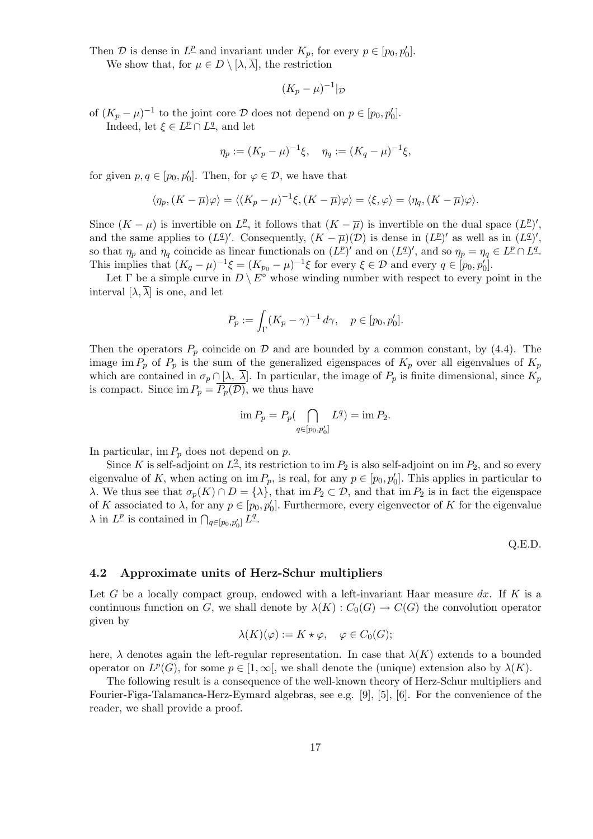Then D is dense in  $L^{\underline{p}}$  and invariant under  $K_p$ , for every  $p \in [p_0, p'_0]$ . We show that, for  $\mu \in D \setminus [\lambda, \overline{\lambda}]$ , the restriction

$$
(K_p - \mu)^{-1}|_{\mathcal{D}}
$$

of  $(K_p - \mu)^{-1}$  to the joint core  $\mathcal D$  does not depend on  $p \in [p_0, p'_0]$ . Indeed, let  $\xi \in L^{\underline{p}} \cap L^{\underline{q}}$ , and let

$$
\eta_p := (K_p - \mu)^{-1} \xi, \quad \eta_q := (K_q - \mu)^{-1} \xi,
$$

for given  $p, q \in [p_0, p'_0]$ . Then, for  $\varphi \in \mathcal{D}$ , we have that

$$
\langle \eta_p, (K - \overline{\mu})\varphi \rangle = \langle (K_p - \mu)^{-1}\xi, (K - \overline{\mu})\varphi \rangle = \langle \xi, \varphi \rangle = \langle \eta_q, (K - \overline{\mu})\varphi \rangle.
$$

Since  $(K - \mu)$  is invertible on  $L^p$ , it follows that  $(K - \overline{\mu})$  is invertible on the dual space  $(L^p)'$ , and the same applies to  $(L^{\underline{q}})'$ . Consequently,  $(K - \overline{\mu})(\mathcal{D})$  is dense in  $(L^{\underline{p}})'$  as well as in  $(L^{\underline{q}})'$ , so that  $\eta_p$  and  $\eta_q$  coincide as linear functionals on  $(L^p)'$  and on  $(L^q)'$ , and so  $\eta_p = \eta_q \in L^p \cap L^q$ . This implies that  $(K_q - \mu)^{-1} \xi = (K_{p_0} - \mu)^{-1} \xi$  for every  $\xi \in \mathcal{D}$  and every  $q \in [p_0, p'_0]$ .

Let  $\Gamma$  be a simple curve in  $D \setminus E^{\circ}$  whose winding number with respect to every point in the interval  $[\lambda, \overline{\lambda}]$  is one, and let

$$
P_p := \int_{\Gamma} (K_p - \gamma)^{-1} d\gamma, \quad p \in [p_0, p_0'].
$$

Then the operators  $P_p$  coincide on  $\mathcal D$  and are bounded by a common constant, by (4.4). The image im  $P_p$  of  $P_p$  is the sum of the generalized eigenspaces of  $K_p$  over all eigenvalues of  $K_p$ which are contained in  $\sigma_p \cap [\lambda, \overline{\lambda}]$ . In particular, the image of  $P_p$  is finite dimensional, since  $K_p$ is compact. Since im  $P_p = \overline{P_p(\mathcal{D})}$ , we thus have

$$
\lim P_p = P_p \big( \bigcap_{q \in [p_0, p'_0]} L^q \big) = \lim P_2.
$$

In particular, im  $P_p$  does not depend on p.

Since K is self-adjoint on  $L^2$ , its restriction to im  $P_2$  is also self-adjoint on im  $P_2$ , and so every eigenvalue of K, when acting on  $\text{im } P_p$ , is real, for any  $p \in [p_0, p'_0]$ . This applies in particular to λ. We thus see that  $σ_p(K) ∩ D = \{\lambda\}$ , that im  $P_2 ⊂ D$ , and that im  $P_2$  is in fact the eigenspace of K associated to  $\lambda$ , for any  $p \in [p_0, p'_0]$ . Furthermore, every eigenvector of K for the eigenvalue  $\lambda$  in  $L^p$  is contained in  $\bigcap_{q \in [p_0, p'_0]} L^q$ .

Q.E.D.

#### 4.2 Approximate units of Herz-Schur multipliers

Let G be a locally compact group, endowed with a left-invariant Haar measure  $dx$ . If K is a continuous function on G, we shall denote by  $\lambda(K)$  :  $C_0(G) \to C(G)$  the convolution operator given by

$$
\lambda(K)(\varphi) := K \star \varphi, \quad \varphi \in C_0(G);
$$

here,  $\lambda$  denotes again the left-regular representation. In case that  $\lambda(K)$  extends to a bounded operator on  $L^p(G)$ , for some  $p \in [1,\infty]$ , we shall denote the (unique) extension also by  $\lambda(K)$ .

The following result is a consequence of the well-known theory of Herz-Schur multipliers and Fourier-Figa-Talamanca-Herz-Eymard algebras, see e.g. [9], [5], [6]. For the convenience of the reader, we shall provide a proof.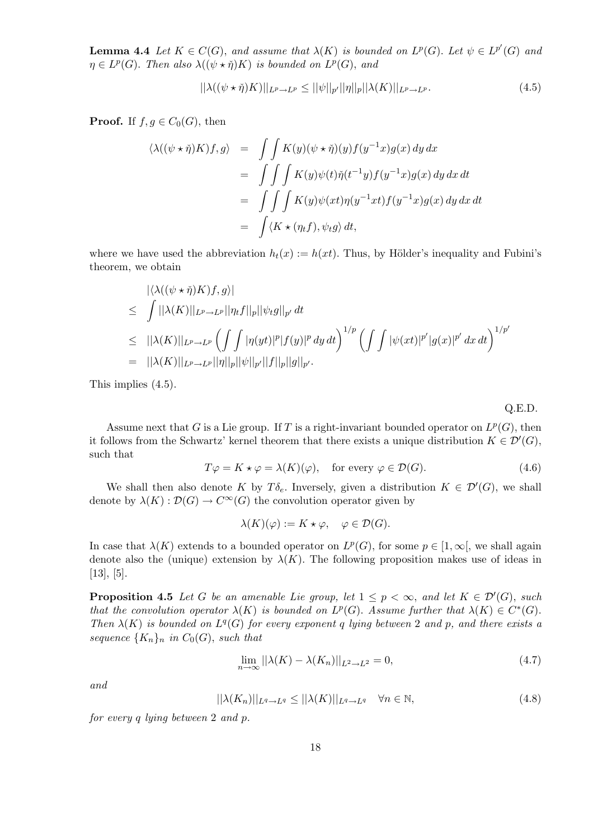**Lemma 4.4** Let  $K \in C(G)$ , and assume that  $\lambda(K)$  is bounded on  $L^p(G)$ . Let  $\psi \in L^{p'}(G)$  and  $\eta \in L^p(G)$ . Then also  $\lambda((\psi \star \check{\eta})K)$  is bounded on  $L^p(G)$ , and

$$
||\lambda((\psi \star \check{\eta})K)||_{L^p \to L^p} \le ||\psi||_{p'}||\eta||_p ||\lambda(K)||_{L^p \to L^p}.
$$
\n(4.5)

**Proof.** If  $f, g \in C_0(G)$ , then

$$
\langle \lambda((\psi \star \check{\eta})K)f, g \rangle = \int \int K(y)(\psi \star \check{\eta})(y)f(y^{-1}x)g(x) dy dx
$$
  

$$
= \int \int \int K(y)\psi(t)\check{\eta}(t^{-1}y)f(y^{-1}x)g(x) dy dx dt
$$
  

$$
= \int \int \int K(y)\psi(xt)\eta(y^{-1}xt)f(y^{-1}x)g(x) dy dx dt
$$
  

$$
= \int \langle K \star (\eta_t f), \psi_t g \rangle dt,
$$

where we have used the abbreviation  $h_t(x) := h(xt)$ . Thus, by Hölder's inequality and Fubini's theorem, we obtain

$$
\begin{aligned}\n&|\langle \lambda((\psi \star \check{\eta})K)f, g \rangle| \\
&\leq \int ||\lambda(K)||_{L^p \to L^p} ||\eta_t f||_p ||\psi_t g||_{p'} dt \\
&\leq ||\lambda(K)||_{L^p \to L^p} \left(\int \int |\eta(yt)|^p |f(y)|^p dy dt\right)^{1/p} \left(\int \int |\psi(xt)|^{p'} |g(x)|^{p'} dx dt\right)^{1/p'} \\
&= ||\lambda(K)||_{L^p \to L^p} ||\eta||_p ||\psi||_{p'} ||f||_p ||g||_{p'}.\n\end{aligned}
$$

This implies (4.5).

Q.E.D.

Assume next that G is a Lie group. If T is a right-invariant bounded operator on  $L^p(G)$ , then it follows from the Schwartz' kernel theorem that there exists a unique distribution  $K \in \mathcal{D}'(G)$ , such that

$$
T\varphi = K \star \varphi = \lambda(K)(\varphi), \quad \text{for every } \varphi \in \mathcal{D}(G). \tag{4.6}
$$

We shall then also denote K by  $T\delta_e$ . Inversely, given a distribution  $K \in \mathcal{D}'(G)$ , we shall denote by  $\lambda(K): \mathcal{D}(G) \to C^{\infty}(G)$  the convolution operator given by

$$
\lambda(K)(\varphi) := K \star \varphi, \quad \varphi \in \mathcal{D}(G).
$$

In case that  $\lambda(K)$  extends to a bounded operator on  $L^p(G)$ , for some  $p \in [1,\infty]$ , we shall again denote also the (unique) extension by  $\lambda(K)$ . The following proposition makes use of ideas in  $[13]$ ,  $[5]$ .

**Proposition 4.5** Let G be an amenable Lie group, let  $1 \leq p < \infty$ , and let  $K \in \mathcal{D}'(G)$ , such that the convolution operator  $\lambda(K)$  is bounded on  $L^p(G)$ . Assume further that  $\lambda(K) \in C^*(G)$ . Then  $\lambda(K)$  is bounded on  $L^q(G)$  for every exponent q lying between 2 and p, and there exists a sequence  ${K_n}_n$  in  $C_0(G)$ , such that

$$
\lim_{n \to \infty} ||\lambda(K) - \lambda(K_n)||_{L^2 \to L^2} = 0,
$$
\n(4.7)

and

$$
||\lambda(K_n)||_{L^q \to L^q} \le ||\lambda(K)||_{L^q \to L^q} \quad \forall n \in \mathbb{N},\tag{4.8}
$$

for every q lying between 2 and p.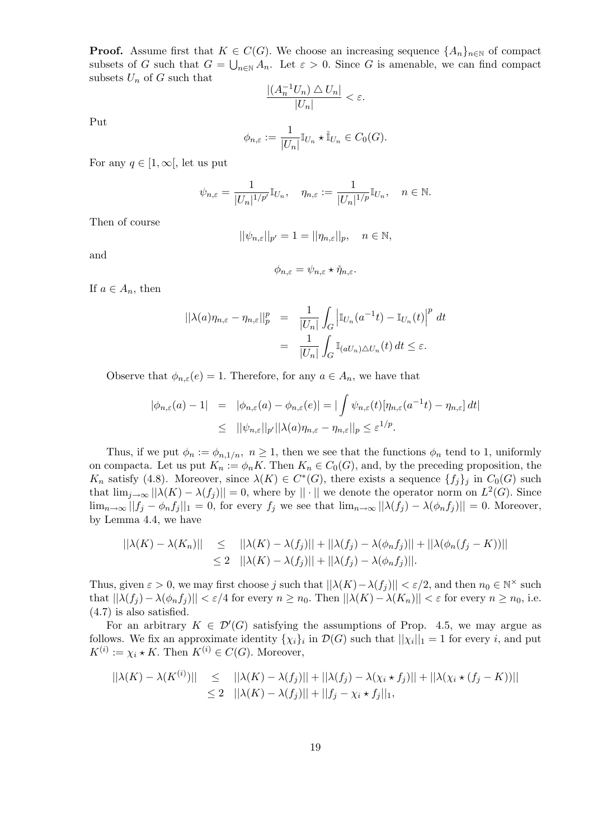**Proof.** Assume first that  $K \in C(G)$ . We choose an increasing sequence  $\{A_n\}_{n\in\mathbb{N}}$  of compact subsets of G such that  $G = \bigcup_{n \in \mathbb{N}} A_n$ . Let  $\varepsilon > 0$ . Since G is amenable, we can find compact subsets  $U_n$  of G such that

$$
\frac{|(A_n^{-1}U_n)\bigtriangleup U_n|}{|U_n|}<\varepsilon.
$$

Put

$$
\phi_{n,\varepsilon} := \frac{1}{|U_n|} \mathbb{I}_{U_n} \star \check{\mathbb{I}}_{U_n} \in C_0(G).
$$

For any  $q \in [1,\infty]$ , let us put

$$
\psi_{n,\varepsilon} = \frac{1}{|U_n|^{1/p'}} \mathbb{I}_{U_n}, \quad \eta_{n,\varepsilon} := \frac{1}{|U_n|^{1/p}} \mathbb{I}_{U_n}, \quad n \in \mathbb{N}.
$$

Then of course

$$
||\psi_{n,\varepsilon}||_{p'}=1=||\eta_{n,\varepsilon}||_p, \quad n \in \mathbb{N},
$$

and

$$
\phi_{n,\varepsilon} = \psi_{n,\varepsilon} \star \check{\eta}_{n,\varepsilon}.
$$

If  $a \in A_n$ , then

$$
\begin{aligned} ||\lambda(a)\eta_{n,\varepsilon} - \eta_{n,\varepsilon}||_p^p &= \frac{1}{|U_n|} \int_G \left| \mathbb{I}_{U_n}(a^{-1}t) - \mathbb{I}_{U_n}(t) \right|^p \, dt \\ &= \frac{1}{|U_n|} \int_G \mathbb{I}_{(aU_n)\triangle U_n}(t) \, dt \le \varepsilon. \end{aligned}
$$

Observe that  $\phi_{n,\varepsilon}(e) = 1$ . Therefore, for any  $a \in A_n$ , we have that

$$
\begin{array}{rcl}\n|\phi_{n,\varepsilon}(a) - 1| & = & |\phi_{n,\varepsilon}(a) - \phi_{n,\varepsilon}(e)| = |\int \psi_{n,\varepsilon}(t) [\eta_{n,\varepsilon}(a^{-1}t) - \eta_{n,\varepsilon}] \, dt| \\
& \leq & ||\psi_{n,\varepsilon}||_{p'} ||\lambda(a) \eta_{n,\varepsilon} - \eta_{n,\varepsilon}||_{p} \leq \varepsilon^{1/p}.\n\end{array}
$$

Thus, if we put  $\phi_n := \phi_{n,1/n}, n \ge 1$ , then we see that the functions  $\phi_n$  tend to 1, uniformly on compacta. Let us put  $K_n := \phi_n K$ . Then  $K_n \in C_0(G)$ , and, by the preceding proposition, the  $K_n$  satisfy (4.8). Moreover, since  $\lambda(K) \in C^*(G)$ , there exists a sequence  $\{f_j\}_j$  in  $C_0(G)$  such that  $\lim_{j\to\infty} ||\lambda(K) - \lambda(f_j)|| = 0$ , where by  $|| \cdot ||$  we denote the operator norm on  $L^2(G)$ . Since  $\lim_{n\to\infty} ||f_j - \phi_n f_j||_1 = 0$ , for every  $f_j$  we see that  $\lim_{n\to\infty} ||\lambda(f_j) - \lambda(\phi_n f_j)|| = 0$ . Moreover, by Lemma 4.4, we have

$$
\begin{aligned} ||\lambda(K) - \lambda(K_n)|| &\leq & ||\lambda(K) - \lambda(f_j)|| + ||\lambda(f_j) - \lambda(\phi_n f_j)|| + ||\lambda(\phi_n(f_j - K))|| \\ &\leq 2 & ||\lambda(K) - \lambda(f_j)|| + ||\lambda(f_j) - \lambda(\phi_n f_j)||. \end{aligned}
$$

Thus, given  $\varepsilon > 0$ , we may first choose j such that  $||\lambda(K) - \lambda(f_j)|| < \varepsilon/2$ , and then  $n_0 \in \mathbb{N}^\times$  such that  $||\lambda(f_j) - \lambda(\phi_n f_j)|| < \varepsilon/4$  for every  $n \ge n_0$ . Then  $||\lambda(K) - \lambda(K_n)|| < \varepsilon$  for every  $n \ge n_0$ , i.e. (4.7) is also satisfied.

For an arbitrary  $K \in \mathcal{D}'(G)$  satisfying the assumptions of Prop. 4.5, we may argue as follows. We fix an approximate identity  $\{\chi_i\}_i$  in  $\mathcal{D}(G)$  such that  $||\chi_i||_1 = 1$  for every i, and put  $K^{(i)} := \chi_i \star K$ . Then  $K^{(i)} \in C(G)$ . Moreover,

$$
||\lambda(K) - \lambda(K^{(i)})|| \le ||\lambda(K) - \lambda(f_j)|| + ||\lambda(f_j) - \lambda(\chi_i \star f_j)|| + ||\lambda(\chi_i \star (f_j - K))||
$$
  
\n
$$
\le 2 ||\lambda(K) - \lambda(f_j)|| + ||f_j - \chi_i \star f_j||_1,
$$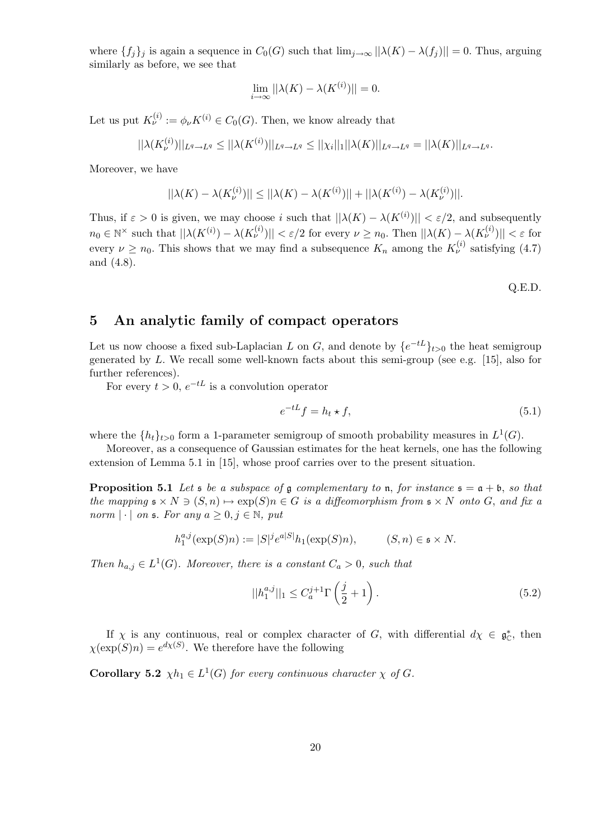where  $\{f_j\}_j$  is again a sequence in  $C_0(G)$  such that  $\lim_{j\to\infty} ||\lambda(K) - \lambda(f_j)|| = 0$ . Thus, arguing similarly as before, we see that

$$
\lim_{i \to \infty} ||\lambda(K) - \lambda(K^{(i)})|| = 0.
$$

Let us put  $K_{\nu}^{(i)} := \phi_{\nu} K^{(i)} \in C_0(G)$ . Then, we know already that

$$
||\lambda(K_{\nu}^{(i)})||_{L^{q}\to L^{q}} \leq ||\lambda(K^{(i)})||_{L^{q}\to L^{q}} \leq ||\chi_{i}||_{1}||\lambda(K)||_{L^{q}\to L^{q}} = ||\lambda(K)||_{L^{q}\to L^{q}}.
$$

Moreover, we have

$$
||\lambda(K) - \lambda(K_{\nu}^{(i)})|| \le ||\lambda(K) - \lambda(K^{(i)})|| + ||\lambda(K^{(i)}) - \lambda(K_{\nu}^{(i)})||.
$$

Thus, if  $\varepsilon > 0$  is given, we may choose i such that  $||\lambda(K) - \lambda(K^{(i)})|| < \varepsilon/2$ , and subsequently  $n_0 \in \mathbb{N}^\times$  such that  $||\lambda(K^{(i)}) - \lambda(K^{(i)}_\nu)|| < \varepsilon/2$  for every  $\nu \ge n_0$ . Then  $||\lambda(K) - \lambda(K^{(i)}_\nu)|| < \varepsilon$  for every  $\nu \ge n_0$ . This shows that we may find a subsequence  $K_n$  among the  $K_{\nu}^{(i)}$  satisfying (4.7) and (4.8).

Q.E.D.

### 5 An analytic family of compact operators

Let us now choose a fixed sub-Laplacian L on G, and denote by  $\{e^{-tL}\}_{t>0}$  the heat semigroup generated by L. We recall some well-known facts about this semi-group (see e.g. [15], also for further references).

For every  $t > 0$ ,  $e^{-tL}$  is a convolution operator

$$
e^{-tL}f = h_t \star f,\tag{5.1}
$$

where the  $\{h_t\}_{t>0}$  form a 1-parameter semigroup of smooth probability measures in  $L^1(G)$ .

Moreover, as a consequence of Gaussian estimates for the heat kernels, one has the following extension of Lemma 5.1 in [15], whose proof carries over to the present situation.

**Proposition 5.1** Let  $s$  be a subspace of g complementary to n, for instance  $s = a + b$ , so that the mapping  $\mathfrak{s} \times N \ni (S, n) \mapsto \exp(S)n \in G$  is a diffeomorphism from  $\mathfrak{s} \times N$  onto G, and fix a norm  $|\cdot|$  on  $\mathfrak{s}$ . For any  $a \geq 0, j \in \mathbb{N}$ , put

$$
h_1^{a,j}(\exp(S)n):=|S|^je^{a|S|}h_1(\exp(S)n),\hspace{1cm}(S,n)\in\mathfrak{s}\times N.
$$

Then  $h_{a,j} \in L^1(G)$ . Moreover, there is a constant  $C_a > 0$ , such that

$$
||h_1^{a,j}||_1 \le C_a^{j+1} \Gamma\left(\frac{j}{2} + 1\right). \tag{5.2}
$$

If  $\chi$  is any continuous, real or complex character of G, with differential  $d\chi \in \mathfrak{g}_{\mathbb{C}}^*$ , then  $\chi(\exp(S)n) = e^{d\chi(S)}$ . We therefore have the following

**Corollary 5.2**  $\chi h_1 \in L^1(G)$  for every continuous character  $\chi$  of G.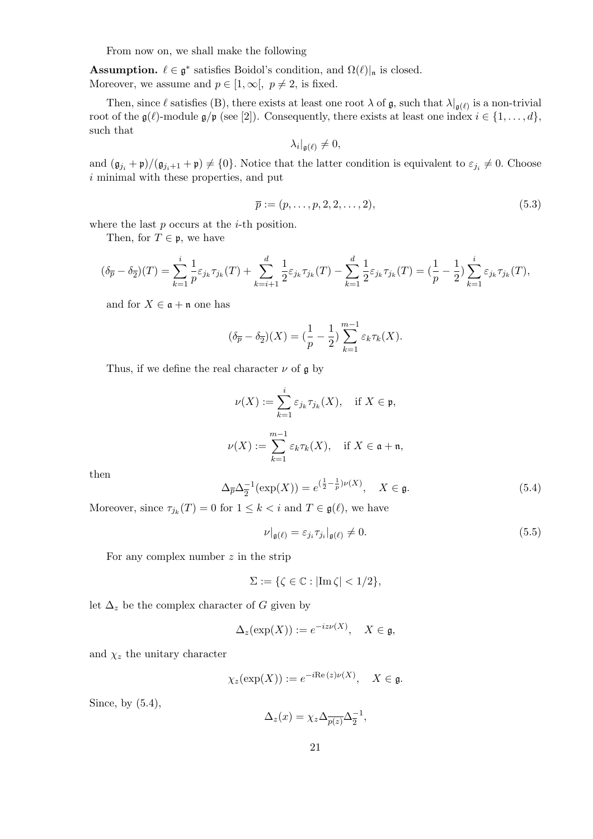From now on, we shall make the following

**Assumption.**  $\ell \in \mathfrak{g}^*$  satisfies Boidol's condition, and  $\Omega(\ell)|_{\mathfrak{n}}$  is closed. Moreover, we assume and  $p \in [1, \infty], p \neq 2$ , is fixed.

Then, since  $\ell$  satisfies (B), there exists at least one root  $\lambda$  of  $\mathfrak{g}$ , such that  $\lambda|_{\mathfrak{g}(\ell)}$  is a non-trivial root of the  $\mathfrak{g}(\ell)$ -module  $\mathfrak{g}/\mathfrak{p}$  (see [2]). Consequently, there exists at least one index  $i \in \{1, \ldots, d\}$ , such that

$$
\lambda_i|_{\mathfrak{g}(\ell)}\neq 0,
$$

and  $(\mathfrak{g}_{j_i} + \mathfrak{p})/(\mathfrak{g}_{j_i+1} + \mathfrak{p}) \neq \{0\}$ . Notice that the latter condition is equivalent to  $\varepsilon_{j_i} \neq 0$ . Choose i minimal with these properties, and put

$$
\overline{p} := (p, \dots, p, 2, 2, \dots, 2),\tag{5.3}
$$

where the last  $p$  occurs at the  $i$ -th position.

Then, for  $T \in \mathfrak{p}$ , we have

$$
(\delta_{\overline{p}} - \delta_{\overline{2}})(T) = \sum_{k=1}^{i} \frac{1}{p} \varepsilon_{j_k} \tau_{j_k}(T) + \sum_{k=i+1}^{d} \frac{1}{2} \varepsilon_{j_k} \tau_{j_k}(T) - \sum_{k=1}^{d} \frac{1}{2} \varepsilon_{j_k} \tau_{j_k}(T) = (\frac{1}{p} - \frac{1}{2}) \sum_{k=1}^{i} \varepsilon_{j_k} \tau_{j_k}(T),
$$

and for  $X \in \mathfrak{a} + \mathfrak{n}$  one has

$$
(\delta_{\overline{p}} - \delta_{\overline{2}})(X) = (\frac{1}{p} - \frac{1}{2}) \sum_{k=1}^{m-1} \varepsilon_k \tau_k(X).
$$

Thus, if we define the real character  $\nu$  of  $\mathfrak g$  by

$$
\nu(X) := \sum_{k=1}^{i} \varepsilon_{j_k} \tau_{j_k}(X), \quad \text{if } X \in \mathfrak{p},
$$
  

$$
\nu(X) := \sum_{k=1}^{m-1} \varepsilon_k \tau_k(X), \quad \text{if } X \in \mathfrak{a} + \mathfrak{n},
$$

then

$$
\Delta_{\overline{p}} \Delta_{\overline{2}}^{-1}(\exp(X)) = e^{(\frac{1}{2} - \frac{1}{p})\nu(X)}, \quad X \in \mathfrak{g}.
$$
 (5.4)

Moreover, since  $\tau_{j_k}(T) = 0$  for  $1 \leq k < i$  and  $T \in \mathfrak{g}(\ell)$ , we have

$$
\nu|_{\mathfrak{g}(\ell)} = \varepsilon_{j_i} \tau_{j_i}|_{\mathfrak{g}(\ell)} \neq 0. \tag{5.5}
$$

For any complex number  $z$  in the strip

$$
\Sigma := \{ \zeta \in \mathbb{C} : |\text{Im}\,\zeta| < 1/2 \},
$$

let  $\Delta_z$  be the complex character of G given by

$$
\Delta_z(\exp(X)) := e^{-iz\nu(X)}, \quad X \in \mathfrak{g},
$$

and  $\chi_z$  the unitary character

$$
\chi_z(\exp(X)) := e^{-i\text{Re}\,(z)\nu(X)}, \quad X \in \mathfrak{g}.
$$

Since, by (5.4),

$$
\Delta_z(x) = \chi_z \Delta_{\overline{p(z)}} \Delta_{\overline{2}}^{-1},
$$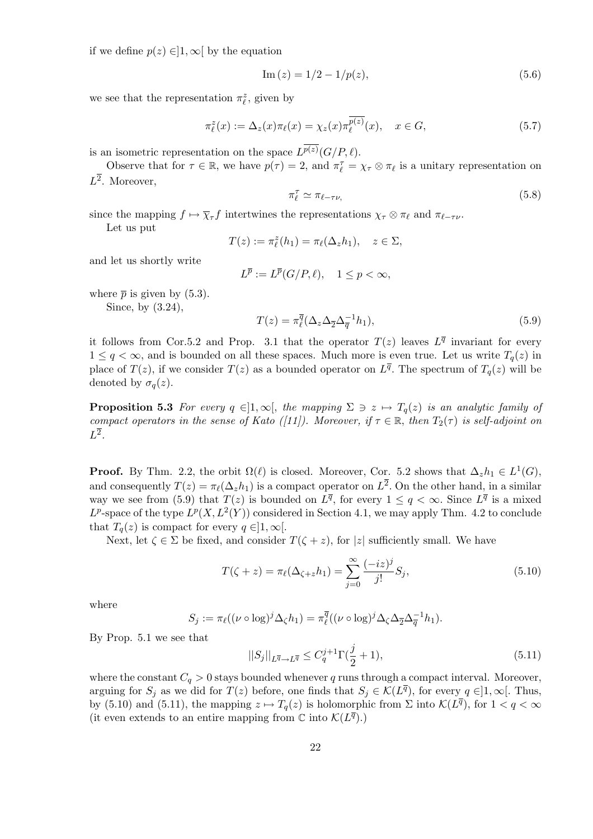if we define  $p(z) \in ]1, \infty[$  by the equation

$$
Im(z) = 1/2 - 1/p(z),
$$
\n(5.6)

we see that the representation  $\pi_{\ell}^z$ , given by

$$
\pi_{\ell}^{z}(x) := \Delta_{z}(x)\pi_{\ell}(x) = \chi_{z}(x)\pi_{\ell}^{\overline{p(z)}}(x), \quad x \in G,
$$
\n(5.7)

is an isometric representation on the space  $L^{p(z)}(G/P, \ell)$ .

Observe that for  $\tau \in \mathbb{R}$ , we have  $p(\tau) = 2$ , and  $\pi_{\ell}^{\tau} = \chi_{\tau} \otimes \pi_{\ell}$  is a unitary representation on  $L^2$ . Moreover,

$$
\pi_{\ell}^{\tau} \simeq \pi_{\ell - \tau \nu,}
$$
\n<sup>(5.8)</sup>

since the mapping  $f \mapsto \overline{\chi}_{\tau} f$  intertwines the representations  $\chi_{\tau} \otimes \pi_{\ell}$  and  $\pi_{\ell-\tau}$  v.

Let us put

$$
T(z) := \pi_{\ell}^z(h_1) = \pi_{\ell}(\Delta_z h_1), \quad z \in \Sigma,
$$

and let us shortly write

$$
L^{\overline{p}} := L^{\overline{p}}(G/P, \ell), \quad 1 \le p < \infty,
$$

where  $\bar{p}$  is given by (5.3). Since, by (3.24),

$$
T(z) = \pi_{\ell}^{\overline{q}}(\Delta_z \Delta_{\overline{2}} \Delta_{\overline{q}}^{-1} h_1), \qquad (5.9)
$$

it follows from Cor.5.2 and Prop. 3.1 that the operator  $T(z)$  leaves  $L^{\overline{q}}$  invariant for every  $1 \le q < \infty$ , and is bounded on all these spaces. Much more is even true. Let us write  $T_q(z)$  in place of  $T(z)$ , if we consider  $T(z)$  as a bounded operator on  $L^{\overline{q}}$ . The spectrum of  $T_q(z)$  will be denoted by  $\sigma_q(z)$ .

**Proposition 5.3** For every  $q \in ]1,\infty[$ , the mapping  $\Sigma \ni z \mapsto T_q(z)$  is an analytic family of compact operators in the sense of Kato ([11]). Moreover, if  $\tau \in \mathbb{R}$ , then  $T_2(\tau)$  is self-adjoint on  $L^{\overline{2}}$ .

**Proof.** By Thm. 2.2, the orbit  $\Omega(\ell)$  is closed. Moreover, Cor. 5.2 shows that  $\Delta_z h_1 \in L^1(G)$ , and consequently  $T(z) = \pi_{\ell}(\Delta_z h_1)$  is a compact operator on  $L^2$ . On the other hand, in a similar way we see from (5.9) that  $T(z)$  is bounded on  $L^{\overline{q}}$ , for every  $1 \leq q < \infty$ . Since  $L^{\overline{q}}$  is a mixed  $L^p$ -space of the type  $L^p(X, L^2(Y))$  considered in Section 4.1, we may apply Thm. 4.2 to conclude that  $T_q(z)$  is compact for every  $q \in ]1,\infty[$ .

Next, let  $\zeta \in \Sigma$  be fixed, and consider  $T(\zeta + z)$ , for |z| sufficiently small. We have

$$
T(\zeta + z) = \pi_{\ell}(\Delta_{\zeta + z} h_1) = \sum_{j=0}^{\infty} \frac{(-iz)^j}{j!} S_j,
$$
\n(5.10)

where

$$
S_j := \pi_{\ell}((\nu \circ \log)^j \Delta_{\zeta} h_1) = \pi_{\ell}^{\overline{q}}((\nu \circ \log)^j \Delta_{\zeta} \Delta_{\overline{2}} \Delta_{\overline{q}}^{-1} h_1).
$$

By Prop. 5.1 we see that

$$
||S_j||_{L^{\overline{q}} \to L^{\overline{q}}} \le C_q^{j+1} \Gamma(\frac{j}{2} + 1), \tag{5.11}
$$

where the constant  $C_q > 0$  stays bounded whenever q runs through a compact interval. Moreover, arguing for  $S_j$  as we did for  $T(z)$  before, one finds that  $S_j \in \mathcal{K}(L^{\overline{q}})$ , for every  $q \in ]1,\infty[$ . Thus, by (5.10) and (5.11), the mapping  $z \mapsto T_q(z)$  is holomorphic from  $\Sigma$  into  $\mathcal{K}(L^{\overline{q}})$ , for  $1 < q < \infty$ (it even extends to an entire mapping from  $\mathbb C$  into  $\mathcal{K}(L^{\overline{q}})$ .)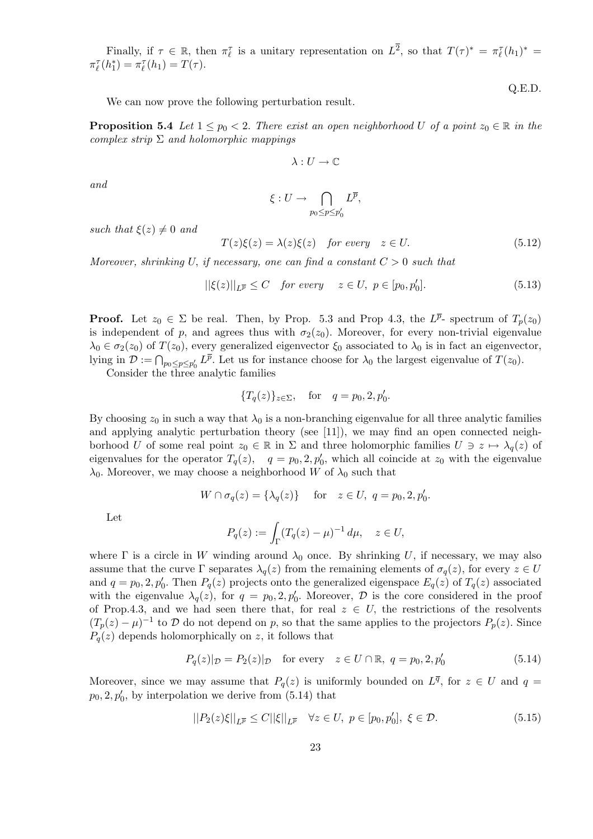Finally, if  $\tau \in \mathbb{R}$ , then  $\pi_{\ell}^{\tau}$  is a unitary representation on  $L^{\overline{2}}$ , so that  $T(\tau)^* = \pi_{\ell}^{\tau}(h_1)^* =$  $\pi_{\ell}^{\tau}(h_1^*) = \pi_{\ell}^{\tau}(h_1) = T(\tau).$ 

We can now prove the following perturbation result.

**Proposition 5.4** Let  $1 \leq p_0 < 2$ . There exist an open neighborhood U of a point  $z_0 \in \mathbb{R}$  in the complex strip  $\Sigma$  and holomorphic mappings

$$
\lambda:U\to\mathbb{C}
$$

and

$$
\xi: U \to \bigcap_{p_0 \le p \le p'_0} L^{\overline{p}},
$$

such that  $\xi(z) \neq 0$  and

$$
T(z)\xi(z) = \lambda(z)\xi(z) \quad \text{for every} \quad z \in U. \tag{5.12}
$$

Moreover, shrinking U, if necessary, one can find a constant  $C > 0$  such that

$$
||\xi(z)||_{L^{\overline{p}}} \leq C \quad \text{for every} \quad z \in U, \ p \in [p_0, p'_0]. \tag{5.13}
$$

**Proof.** Let  $z_0 \in \Sigma$  be real. Then, by Prop. 5.3 and Prop 4.3, the  $L^{\overline{p}}$ - spectrum of  $T_p(z_0)$ is independent of p, and agrees thus with  $\sigma_2(z_0)$ . Moreover, for every non-trivial eigenvalue  $\lambda_0 \in \sigma_2(z_0)$  of  $T(z_0)$ , every generalized eigenvector  $\xi_0$  associated to  $\lambda_0$  is in fact an eigenvector, lying in  $\mathcal{D} := \bigcap_{p_0 \leq p \leq p'_0} L^{\overline{p}}$ . Let us for instance choose for  $\lambda_0$  the largest eigenvalue of  $T(z_0)$ .

Consider the three analytic families

$$
{T_q(z)}_{z \in \Sigma}
$$
, for  $q = p_0, 2, p'_0$ .

By choosing  $z_0$  in such a way that  $\lambda_0$  is a non-branching eigenvalue for all three analytic families and applying analytic perturbation theory (see [11]), we may find an open connected neighborhood U of some real point  $z_0 \in \mathbb{R}$  in  $\Sigma$  and three holomorphic families  $U \ni z \mapsto \lambda_q(z)$  of eigenvalues for the operator  $T_q(z)$ ,  $q = p_0, 2, p'_0$ , which all coincide at  $z_0$  with the eigenvalue  $\lambda_0$ . Moreover, we may choose a neighborhood W of  $\lambda_0$  such that

$$
W \cap \sigma_q(z) = \{\lambda_q(z)\} \quad \text{for} \quad z \in U, \ q = p_0, 2, p'_0.
$$

Let

$$
P_q(z) := \int_{\Gamma} (T_q(z) - \mu)^{-1} d\mu, \quad z \in U,
$$

where  $\Gamma$  is a circle in W winding around  $\lambda_0$  once. By shrinking U, if necessary, we may also assume that the curve  $\Gamma$  separates  $\lambda_q(z)$  from the remaining elements of  $\sigma_q(z)$ , for every  $z \in U$ and  $q = p_0, 2, p'_0$ . Then  $P_q(z)$  projects onto the generalized eigenspace  $E_q(z)$  of  $T_q(z)$  associated with the eigenvalue  $\lambda_q(z)$ , for  $q = p_0, 2, p'_0$ . Moreover,  $\mathcal D$  is the core considered in the proof of Prop.4.3, and we had seen there that, for real  $z \in U$ , the restrictions of the resolvents  $(T_p(z) - \mu)^{-1}$  to D do not depend on p, so that the same applies to the projectors  $P_p(z)$ . Since  $P_q(z)$  depends holomorphically on z, it follows that

$$
P_q(z)|_{\mathcal{D}} = P_2(z)|_{\mathcal{D}}
$$
 for every  $z \in U \cap \mathbb{R}$ ,  $q = p_0, 2, p'_0$  (5.14)

Moreover, since we may assume that  $P_q(z)$  is uniformly bounded on  $L^{\overline{q}}$ , for  $z \in U$  and  $q =$  $p_0, 2, p'_0$ , by interpolation we derive from  $(5.14)$  that

$$
||P_2(z)\xi||_{L^{\overline{p}}} \le C||\xi||_{L^{\overline{p}}} \quad \forall z \in U, \ p \in [p_0, p'_0], \ \xi \in \mathcal{D}.
$$
 (5.15)

Q.E.D.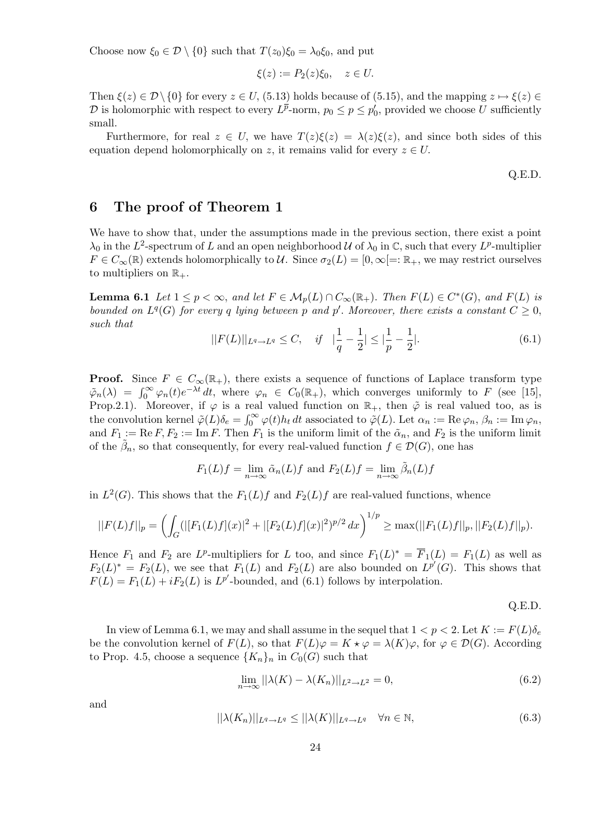Choose now  $\xi_0 \in \mathcal{D} \setminus \{0\}$  such that  $T(z_0)\xi_0 = \lambda_0 \xi_0$ , and put

$$
\xi(z) := P_2(z)\xi_0, \quad z \in U.
$$

Then  $\xi(z) \in \mathcal{D} \setminus \{0\}$  for every  $z \in U$ , (5.13) holds because of (5.15), and the mapping  $z \mapsto \xi(z) \in$ D is holomorphic with respect to every  $L^{\overline{p}}$ -norm,  $p_0 \leq p \leq p'_0$ , provided we choose U sufficiently small.

Furthermore, for real  $z \in U$ , we have  $T(z)\xi(z) = \lambda(z)\xi(z)$ , and since both sides of this equation depend holomorphically on z, it remains valid for every  $z \in U$ .

Q.E.D.

#### 6 The proof of Theorem 1

We have to show that, under the assumptions made in the previous section, there exist a point  $\lambda_0$  in the L<sup>2</sup>-spectrum of L and an open neighborhood U of  $\lambda_0$  in C, such that every L<sup>p</sup>-multiplier  $F \in C_{\infty}(\mathbb{R})$  extends holomorphically to U. Since  $\sigma_2(L) = [0, \infty[=: \mathbb{R}_+,$  we may restrict ourselves to multipliers on  $\mathbb{R}_+$ .

**Lemma 6.1** Let  $1 \leq p < \infty$ , and let  $F \in M_p(L) \cap C_{\infty}(\mathbb{R}_+)$ . Then  $F(L) \in C^*(G)$ , and  $F(L)$  is bounded on  $L^q(G)$  for every q lying between p and p'. Moreover, there exists a constant  $C \geq 0$ , such that

$$
||F(L)||_{L^{q} \to L^{q}} \leq C, \quad if \quad \left|\frac{1}{q} - \frac{1}{2}\right| \leq \left|\frac{1}{p} - \frac{1}{2}\right|.
$$
\n
$$
(6.1)
$$

**Proof.** Since  $F \in C_{\infty}(\mathbb{R}_+),$  there exists a sequence of functions of Laplace transform type  $\tilde{\varphi}_n(\lambda) = \int_0^\infty \varphi_n(t) e^{-\lambda t} dt$ , where  $\varphi_n \in C_0(\mathbb{R}_+)$ , which converges uniformly to F (see [15], Prop.2.1). Moreover, if  $\varphi$  is a real valued function on  $\mathbb{R}_+$ , then  $\tilde{\varphi}$  is real valued too, as is the convolution kernel  $\tilde{\varphi}(L)\delta_e = \int_0^\infty \varphi(t)h_t dt$  associated to  $\tilde{\varphi}(L)$ . Let  $\alpha_n := \text{Re}\,\varphi_n$ ,  $\beta_n := \text{Im}\,\varphi_n$ , and  $F_1 := \text{Re } F, F_2 := \text{Im } F$ . Then  $F_1$  is the uniform limit of the  $\tilde{\alpha}_n$ , and  $F_2$  is the uniform limit of the  $\tilde{\beta}_n$ , so that consequently, for every real-valued function  $f \in \mathcal{D}(G)$ , one has

$$
F_1(L)f = \lim_{n \to \infty} \tilde{\alpha}_n(L)f \text{ and } F_2(L)f = \lim_{n \to \infty} \tilde{\beta}_n(L)f
$$

in  $L^2(G)$ . This shows that the  $F_1(L)f$  and  $F_2(L)f$  are real-valued functions, whence

$$
||F(L)f||_p=\left(\int_G (|[F_1(L)f](x)|^2+|[F_2(L)f](x)|^2)^{p/2}\,dx\right)^{1/p}\geq \max(||F_1(L)f||_p, ||F_2(L)f||_p).
$$

Hence  $F_1$  and  $F_2$  are  $L^p$ -multipliers for L too, and since  $F_1(L)^* = \overline{F}_1(L) = F_1(L)$  as well as  $F_2(L)^* = F_2(L)$ , we see that  $F_1(L)$  and  $F_2(L)$  are also bounded on  $L^{p'}(G)$ . This shows that  $F(L) = F_1(L) + iF_2(L)$  is  $L^{p'}$ -bounded, and (6.1) follows by interpolation.

Q.E.D.

In view of Lemma 6.1, we may and shall assume in the sequel that  $1 < p < 2$ . Let  $K := F(L)\delta_e$ be the convolution kernel of  $F(L)$ , so that  $F(L)\varphi = K \star \varphi = \lambda(K)\varphi$ , for  $\varphi \in \mathcal{D}(G)$ . According to Prop. 4.5, choose a sequence  $\{K_n\}_n$  in  $C_0(G)$  such that

$$
\lim_{n \to \infty} ||\lambda(K) - \lambda(K_n)||_{L^2 \to L^2} = 0,
$$
\n(6.2)

and

$$
||\lambda(K_n)||_{L^q \to L^q} \le ||\lambda(K)||_{L^q \to L^q} \quad \forall n \in \mathbb{N},\tag{6.3}
$$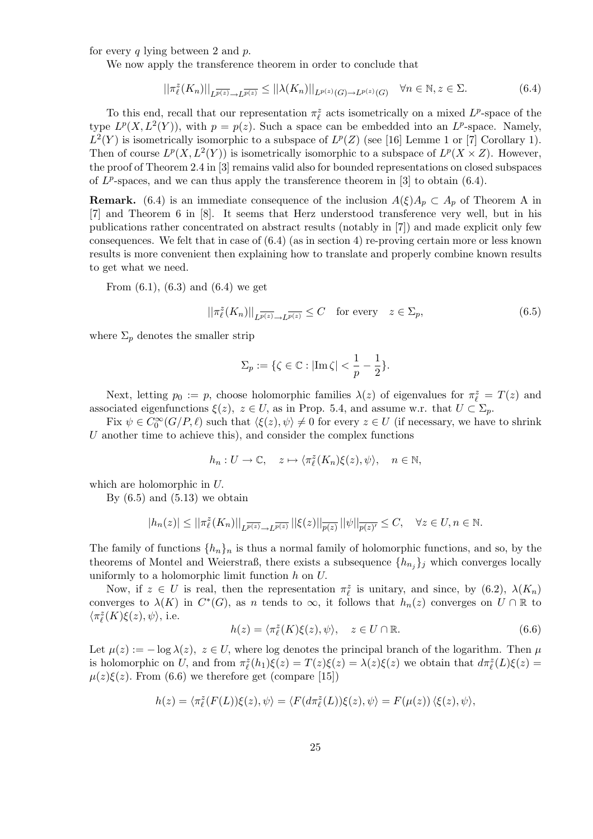for every q lying between 2 and  $p$ .

We now apply the transference theorem in order to conclude that

$$
||\pi_{\ell}^{z}(K_{n})||_{L^{\overline{p(z)}} \to L^{\overline{p(z)}}} \leq ||\lambda(K_{n})||_{L^{p(z)}(G) \to L^{p(z)}(G)} \quad \forall n \in \mathbb{N}, z \in \Sigma.
$$
 (6.4)

To this end, recall that our representation  $\pi_{\ell}^z$  acts isometrically on a mixed  $L^p$ -space of the type  $L^p(X, L^2(Y))$ , with  $p = p(z)$ . Such a space can be embedded into an  $L^p$ -space. Namely,  $L^2(Y)$  is isometrically isomorphic to a subspace of  $L^p(Z)$  (see [16] Lemme 1 or [7] Corollary 1). Then of course  $L^p(X, L^2(Y))$  is isometrically isomorphic to a subspace of  $L^p(X \times Z)$ . However, the proof of Theorem 2.4 in [3] remains valid also for bounded representations on closed subspaces of  $L^p$ -spaces, and we can thus apply the transference theorem in [3] to obtain (6.4).

**Remark.** (6.4) is an immediate consequence of the inclusion  $A(\xi)A_p \subset A_p$  of Theorem A in [7] and Theorem 6 in [8]. It seems that Herz understood transference very well, but in his publications rather concentrated on abstract results (notably in [7]) and made explicit only few consequences. We felt that in case of  $(6.4)$  (as in section 4) re-proving certain more or less known results is more convenient then explaining how to translate and properly combine known results to get what we need.

From  $(6.1)$ ,  $(6.3)$  and  $(6.4)$  we get

$$
||\pi_{\ell}^{z}(K_{n})||_{L^{\overline{p(z)}} \to L^{\overline{p(z)}}} \leq C \quad \text{for every} \quad z \in \Sigma_{p},\tag{6.5}
$$

where  $\Sigma_p$  denotes the smaller strip

$$
\Sigma_p:=\{\zeta\in\mathbb{C}:|{\rm Im\,}\zeta|<\frac{1}{p}-\frac{1}{2}\}.
$$

Next, letting  $p_0 := p$ , choose holomorphic families  $\lambda(z)$  of eigenvalues for  $\pi_{\ell}^z = T(z)$  and associated eigenfunctions  $\xi(z)$ ,  $z \in U$ , as in Prop. 5.4, and assume w.r. that  $U \subset \Sigma_p$ .

Fix  $\psi \in C_0^{\infty}(G/P, \ell)$  such that  $\langle \xi(z), \psi \rangle \neq 0$  for every  $z \in U$  (if necessary, we have to shrink U another time to achieve this), and consider the complex functions

$$
h_n: U \to \mathbb{C}, \quad z \mapsto \langle \pi_\ell^z(K_n)\xi(z), \psi \rangle, \quad n \in \mathbb{N},
$$

which are holomorphic in U.

By  $(6.5)$  and  $(5.13)$  we obtain

$$
|h_n(z)| \le ||\pi_\ell^z(K_n)||_{L^{\overline{p(z)}} \to L^{\overline{p(z)}}} ||\xi(z)||_{\overline{p(z)}} ||\psi||_{\overline{p(z)'} } \leq C, \quad \forall z \in U, n \in \mathbb{N}.
$$

The family of functions  $\{h_n\}_n$  is thus a normal family of holomorphic functions, and so, by the theorems of Montel and Weierstraß, there exists a subsequence  $\{h_{n_j}\}_j$  which converges locally uniformly to a holomorphic limit function h on U.

Now, if  $z \in U$  is real, then the representation  $\pi_{\ell}^{z}$  is unitary, and since, by (6.2),  $\lambda(K_{n})$ converges to  $\lambda(K)$  in  $C^*(G)$ , as n tends to  $\infty$ , it follows that  $h_n(z)$  converges on  $U \cap \mathbb{R}$  to  $\langle \pi^z_{\ell}(K)\xi(z), \psi\rangle,$  i.e.

$$
h(z) = \langle \pi_{\ell}^{z}(K)\xi(z), \psi \rangle, \quad z \in U \cap \mathbb{R}.
$$
 (6.6)

Let  $\mu(z) := -\log \lambda(z)$ ,  $z \in U$ , where log denotes the principal branch of the logarithm. Then  $\mu$ is holomorphic on U, and from  $\pi_{\ell}^{z}(h_1)\xi(z) = T(z)\xi(z) = \lambda(z)\xi(z)$  we obtain that  $d\pi_{\ell}^{z}(L)\xi(z) =$  $\mu(z)\xi(z)$ . From (6.6) we therefore get (compare [15])

$$
h(z) = \langle \pi_{\ell}^{z}(F(L))\xi(z), \psi \rangle = \langle F(d\pi_{\ell}^{z}(L))\xi(z), \psi \rangle = F(\mu(z)) \langle \xi(z), \psi \rangle,
$$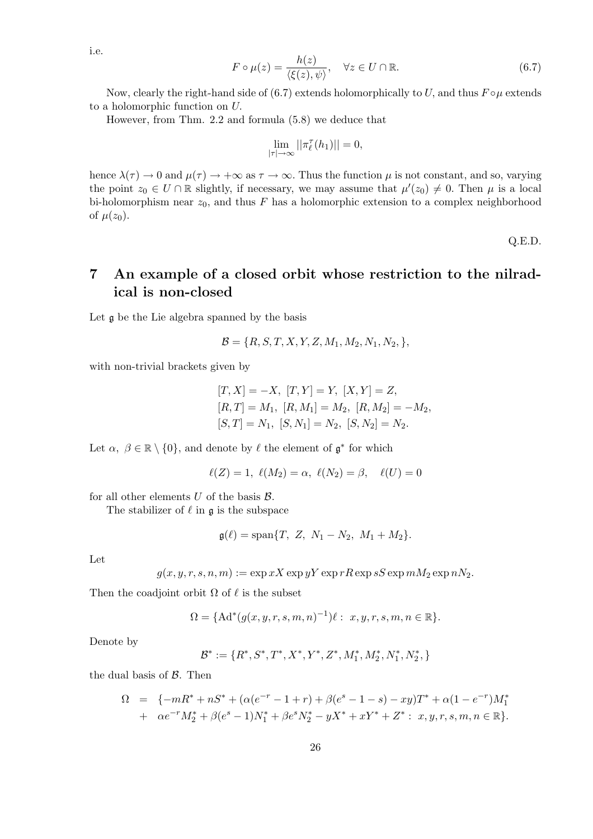i.e.

$$
F \circ \mu(z) = \frac{h(z)}{\langle \xi(z), \psi \rangle}, \quad \forall z \in U \cap \mathbb{R}.
$$
 (6.7)

Now, clearly the right-hand side of (6.7) extends holomorphically to U, and thus  $F \circ \mu$  extends to a holomorphic function on U.

However, from Thm. 2.2 and formula (5.8) we deduce that

$$
\lim_{|\tau| \to \infty} ||\pi_{\ell}^{\tau}(h_1)|| = 0,
$$

hence  $\lambda(\tau) \to 0$  and  $\mu(\tau) \to +\infty$  as  $\tau \to \infty$ . Thus the function  $\mu$  is not constant, and so, varying the point  $z_0 \in U \cap \mathbb{R}$  slightly, if necessary, we may assume that  $\mu'(z_0) \neq 0$ . Then  $\mu$  is a local bi-holomorphism near  $z_0$ , and thus F has a holomorphic extension to a complex neighborhood of  $\mu(z_0)$ .

Q.E.D.

### 7 An example of a closed orbit whose restriction to the nilradical is non-closed

Let g be the Lie algebra spanned by the basis

$$
\mathcal{B} = \{R, S, T, X, Y, Z, M_1, M_2, N_1, N_2, \},\
$$

with non-trivial brackets given by

$$
[T, X] = -X, [T, Y] = Y, [X, Y] = Z,
$$
  
\n
$$
[R, T] = M_1, [R, M_1] = M_2, [R, M_2] = -M_2,
$$
  
\n
$$
[S, T] = N_1, [S, N_1] = N_2, [S, N_2] = N_2.
$$

Let  $\alpha, \beta \in \mathbb{R} \setminus \{0\}$ , and denote by  $\ell$  the element of  $\mathfrak{g}^*$  for which

$$
\ell(Z) = 1, \ \ell(M_2) = \alpha, \ \ell(N_2) = \beta, \quad \ell(U) = 0
$$

for all other elements  $U$  of the basis  $\mathcal{B}$ .

The stabilizer of  $\ell$  in  $\mathfrak g$  is the subspace

$$
\mathfrak{g}(\ell) = \text{span}\{T, Z, N_1 - N_2, M_1 + M_2\}.
$$

Let

$$
g(x, y, r, s, n, m) := \exp xX \exp yY \exp rR \exp sS \exp mM_2 \exp nN_2.
$$

Then the coadjoint orbit  $\Omega$  of  $\ell$  is the subset

$$
\Omega = \{ \text{Ad}^*(g(x, y, r, s, m, n)^{-1}) \ell : x, y, r, s, m, n \in \mathbb{R} \}.
$$

Denote by

$$
\mathcal{B}^*:=\{R^*, S^*, T^*, X^*, Y^*, Z^*, M_1^*, M_2^*, N_1^*, N_2^*, \}
$$

the dual basis of  $\beta$ . Then

$$
\Omega = \{-mR^* + nS^* + (\alpha(e^{-r} - 1 + r) + \beta(e^s - 1 - s) - xy)T^* + \alpha(1 - e^{-r})M_1^* + \alpha e^{-r}M_2^* + \beta(e^s - 1)N_1^* + \beta e^s N_2^* - yX^* + xY^* + Z^* : x, y, r, s, m, n \in \mathbb{R}\}.
$$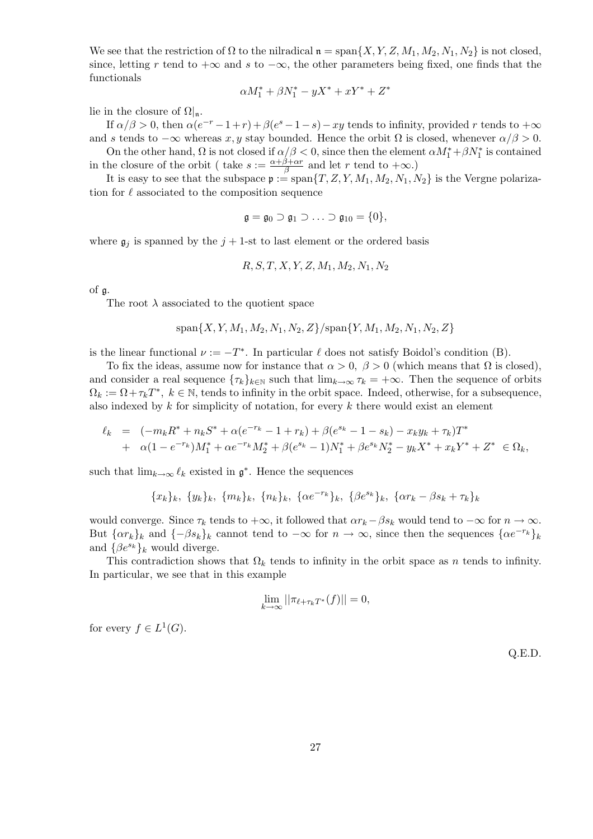We see that the restriction of  $\Omega$  to the nilradical  $\mathfrak{n} = \text{span}\{X, Y, Z, M_1, M_2, N_1, N_2\}$  is not closed, since, letting r tend to  $+\infty$  and s to  $-\infty$ , the other parameters being fixed, one finds that the functionals

$$
\alpha M_1^* + \beta N_1^* - yX^* + xY^* + Z^*
$$

lie in the closure of  $\Omega|_{\mathfrak{n}}$ .

If  $\alpha/\beta > 0$ , then  $\alpha(e^{-r} - 1 + r) + \beta(e^{s} - 1 - s) - xy$  tends to infinity, provided r tends to  $+\infty$ and s tends to  $-\infty$  whereas x, y stay bounded. Hence the orbit  $\Omega$  is closed, whenever  $\alpha/\beta > 0$ .

On the other hand,  $\Omega$  is not closed if  $\alpha/\beta < 0$ , since then the element  $\alpha M_1^* + \beta N_1^*$  is contained in the closure of the orbit ( take  $s := \frac{\alpha + \beta + \alpha r}{\beta}$  $\frac{\beta + \alpha r}{\beta}$  and let r tend to  $+\infty$ .)

It is easy to see that the subspace  $p := \text{span}\{T, Z, Y, M_1, M_2, N_1, N_2\}$  is the Vergne polarization for  $\ell$  associated to the composition sequence

$$
\mathfrak{g}=\mathfrak{g}_0\supset \mathfrak{g}_1\supset\ldots\supset \mathfrak{g}_{10}=\{0\},
$$

where  $\mathfrak{g}_j$  is spanned by the  $j + 1$ -st to last element or the ordered basis

$$
R, S, T, X, Y, Z, M_1, M_2, N_1, N_2
$$

of g.

The root  $\lambda$  associated to the quotient space

$$
\mathrm{span}\{X, Y, M_1, M_2, N_1, N_2, Z\}/\mathrm{span}\{Y, M_1, M_2, N_1, N_2, Z\}
$$

is the linear functional  $\nu := -T^*$ . In particular  $\ell$  does not satisfy Boidol's condition (B).

To fix the ideas, assume now for instance that  $\alpha > 0$ ,  $\beta > 0$  (which means that  $\Omega$  is closed), and consider a real sequence  $\{\tau_k\}_{k\in\mathbb{N}}$  such that  $\lim_{k\to\infty}\tau_k = +\infty$ . Then the sequence of orbits  $\Omega_k := \Omega + \tau_k T^*$ ,  $k \in \mathbb{N}$ , tends to infinity in the orbit space. Indeed, otherwise, for a subsequence, also indexed by  $k$  for simplicity of notation, for every  $k$  there would exist an element

$$
\ell_k = (-m_k R^* + n_k S^* + \alpha (e^{-r_k} - 1 + r_k) + \beta (e^{s_k} - 1 - s_k) - x_k y_k + \tau_k) T^*
$$
  
+ 
$$
\alpha (1 - e^{-r_k}) M_1^* + \alpha e^{-r_k} M_2^* + \beta (e^{s_k} - 1) N_1^* + \beta e^{s_k} N_2^* - y_k X^* + x_k Y^* + Z^* \in \Omega_k,
$$

such that  $\lim_{k\to\infty} \ell_k$  existed in  $\mathfrak{g}^*$ . Hence the sequences

$$
\{x_k\}_k, \ \{y_k\}_k, \ \{m_k\}_k, \ \{n_k\}_k, \ \{\alpha e^{-r_k}\}_k, \ \{\beta e^{s_k}\}_k, \ \{\alpha r_k - \beta s_k + \tau_k\}_k
$$

would converge. Since  $\tau_k$  tends to  $+\infty$ , it followed that  $\alpha r_k - \beta s_k$  would tend to  $-\infty$  for  $n \to \infty$ . But  $\{\alpha r_k\}_k$  and  $\{-\beta s_k\}_k$  cannot tend to  $-\infty$  for  $n \to \infty$ , since then the sequences  $\{\alpha e^{-r_k}\}_k$ and  $\{\beta e^{s_k}\}_k$  would diverge.

This contradiction shows that  $\Omega_k$  tends to infinity in the orbit space as n tends to infinity. In particular, we see that in this example

$$
\lim_{k \to \infty} ||\pi_{\ell + \tau_k T^*}(f)|| = 0,
$$

for every  $f \in L^1(G)$ .

Q.E.D.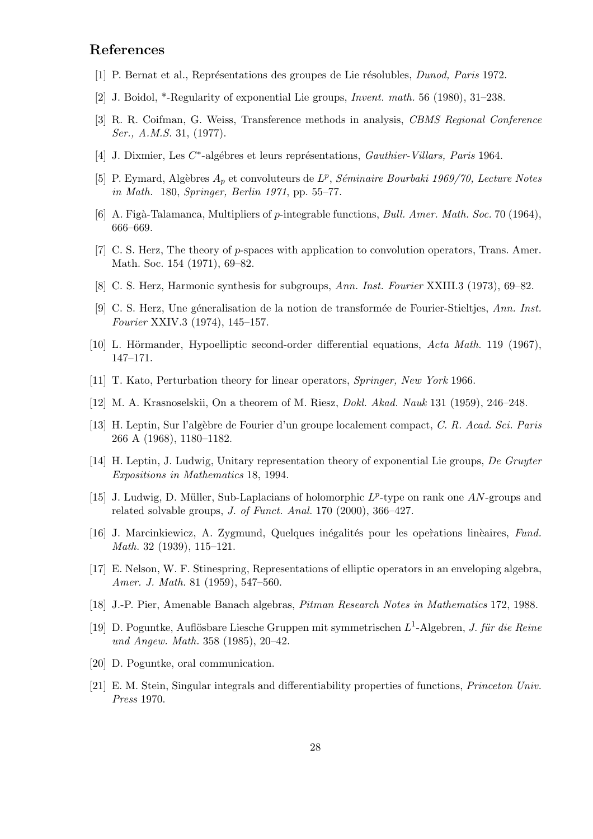### References

- [1] P. Bernat et al., Représentations des groupes de Lie résolubles, *Dunod, Paris* 1972.
- [2] J. Boidol, \*-Regularity of exponential Lie groups, Invent. math. 56 (1980), 31–238.
- [3] R. R. Coifman, G. Weiss, Transference methods in analysis, CBMS Regional Conference Ser., A.M.S. 31, (1977).
- [4] J. Dixmier, Les C<sup>\*</sup>-algébres et leurs représentations, Gauthier-Villars, Paris 1964.
- [5] P. Eymard, Algèbres  $A_p$  et convoluteurs de  $L^p$ , Séminaire Bourbaki 1969/70, Lecture Notes in Math. 180, Springer, Berlin 1971, pp. 55–77.
- [6] A. Figà-Talamanca, Multipliers of p-integrable functions, Bull. Amer. Math. Soc. 70 (1964), 666–669.
- [7] C. S. Herz, The theory of p-spaces with application to convolution operators, Trans. Amer. Math. Soc. 154 (1971), 69–82.
- [8] C. S. Herz, Harmonic synthesis for subgroups, Ann. Inst. Fourier XXIII.3 (1973), 69–82.
- [9] C. S. Herz, Une géneralisation de la notion de transformée de Fourier-Stieltjes, Ann. Inst. Fourier XXIV.3 (1974), 145–157.
- [10] L. Hörmander, Hypoelliptic second-order differential equations,  $Acta Math.$  119 (1967), 147–171.
- [11] T. Kato, Perturbation theory for linear operators, Springer, New York 1966.
- [12] M. A. Krasnoselskii, On a theorem of M. Riesz, Dokl. Akad. Nauk 131 (1959), 246–248.
- [13] H. Leptin, Sur l'alg`ebre de Fourier d'un groupe localement compact, C. R. Acad. Sci. Paris 266 A (1968), 1180–1182.
- [14] H. Leptin, J. Ludwig, Unitary representation theory of exponential Lie groups, De Gruyter Expositions in Mathematics 18, 1994.
- [15] J. Ludwig, D. Müller, Sub-Laplacians of holomorphic  $L^p$ -type on rank one AN-groups and related solvable groups, J. of Funct. Anal. 170 (2000), 366–427.
- [16] J. Marcinkiewicz, A. Zygmund, Quelques inégalités pour les operations linèaires, Fund. Math. 32 (1939), 115–121.
- [17] E. Nelson, W. F. Stinespring, Representations of elliptic operators in an enveloping algebra, Amer. J. Math. 81 (1959), 547–560.
- [18] J.-P. Pier, Amenable Banach algebras, Pitman Research Notes in Mathematics 172, 1988.
- [19] D. Poguntke, Auflösbare Liesche Gruppen mit symmetrischen  $L^1$ -Algebren, J. für die Reine und Angew. Math. 358 (1985), 20–42.
- [20] D. Poguntke, oral communication.
- [21] E. M. Stein, Singular integrals and differentiability properties of functions, Princeton Univ. Press 1970.